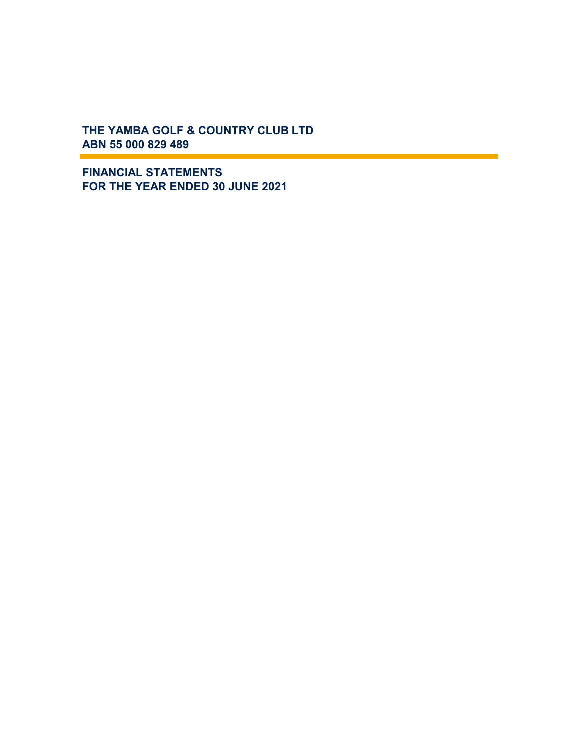**FINANCIAL STATEMENTS FOR THE YEAR ENDED 30 JUNE 2021**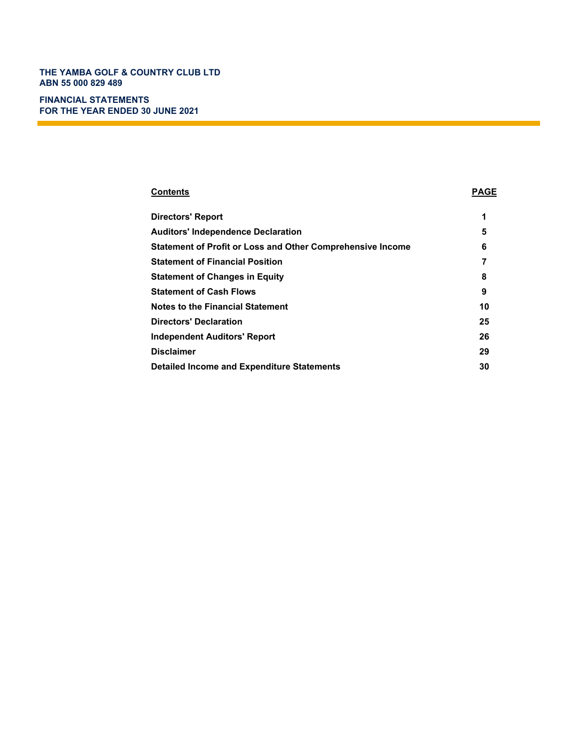# **FINANCIAL STATEMENTS FOR THE YEAR ENDED 30 JUNE 2021**

# **Contents PAGE**

| <b>Directors' Report</b>                                   | 1  |
|------------------------------------------------------------|----|
| <b>Auditors' Independence Declaration</b>                  | 5  |
| Statement of Profit or Loss and Other Comprehensive Income | 6  |
| <b>Statement of Financial Position</b>                     |    |
| <b>Statement of Changes in Equity</b>                      | 8  |
| <b>Statement of Cash Flows</b>                             | 9  |
| <b>Notes to the Financial Statement</b>                    | 10 |
| <b>Directors' Declaration</b>                              | 25 |
| Independent Auditors' Report                               | 26 |
| <b>Disclaimer</b>                                          | 29 |
| <b>Detailed Income and Expenditure Statements</b>          | 30 |
|                                                            |    |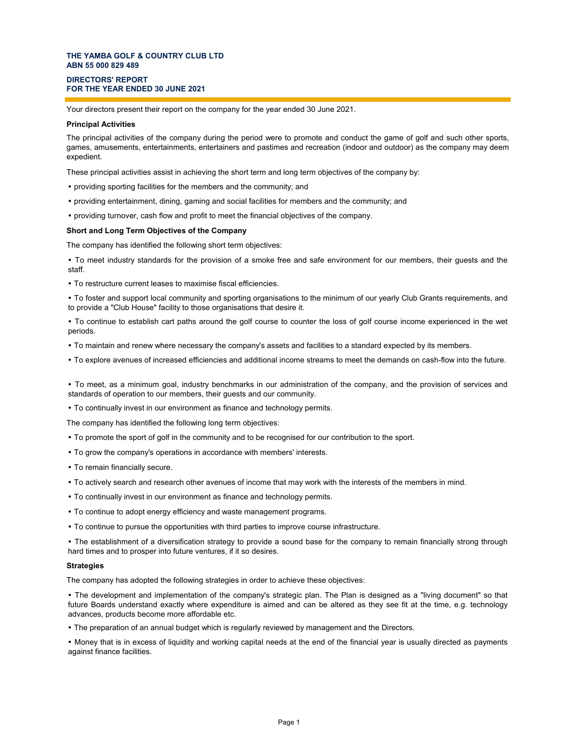## **DIRECTORS' REPORT FOR THE YEAR ENDED 30 JUNE 2021**

Your directors present their report on the company for the year ended 30 June 2021.

#### **Principal Activities**

The principal activities of the company during the period were to promote and conduct the game of golf and such other sports, games, amusements, entertainments, entertainers and pastimes and recreation (indoor and outdoor) as the company may deem expedient.

These principal activities assist in achieving the short term and long term objectives of the company by:

- providing sporting facilities for the members and the community; and
- providing entertainment, dining, gaming and social facilities for members and the community; and
- providing turnover, cash flow and profit to meet the financial objectives of the company.

#### **Short and Long Term Objectives of the Company**

The company has identified the following short term objectives:

 To meet industry standards for the provision of a smoke free and safe environment for our members, their guests and the staff.

To restructure current leases to maximise fiscal efficiencies.

 To foster and support local community and sporting organisations to the minimum of our yearly Club Grants requirements, and to provide a "Club House" facility to those organisations that desire it.

 To continue to establish cart paths around the golf course to counter the loss of golf course income experienced in the wet periods.

- To maintain and renew where necessary the company's assets and facilities to a standard expected by its members.
- To explore avenues of increased efficiencies and additional income streams to meet the demands on cash-flow into the future.

 To meet, as a minimum goal, industry benchmarks in our administration of the company, and the provision of services and standards of operation to our members, their guests and our community.

To continually invest in our environment as finance and technology permits.

The company has identified the following long term objectives:

- To promote the sport of golf in the community and to be recognised for our contribution to the sport.
- To grow the company's operations in accordance with members' interests.
- To remain financially secure.
- To actively search and research other avenues of income that may work with the interests of the members in mind.
- To continually invest in our environment as finance and technology permits.
- To continue to adopt energy efficiency and waste management programs.
- To continue to pursue the opportunities with third parties to improve course infrastructure.

 The establishment of a diversification strategy to provide a sound base for the company to remain financially strong through hard times and to prosper into future ventures, if it so desires.

#### **Strategies**

The company has adopted the following strategies in order to achieve these objectives:

 The development and implementation of the company's strategic plan. The Plan is designed as a "living document" so that future Boards understand exactly where expenditure is aimed and can be altered as they see fit at the time, e.g. technology advances, products become more affordable etc.

The preparation of an annual budget which is regularly reviewed by management and the Directors.

 Money that is in excess of liquidity and working capital needs at the end of the financial year is usually directed as payments against finance facilities.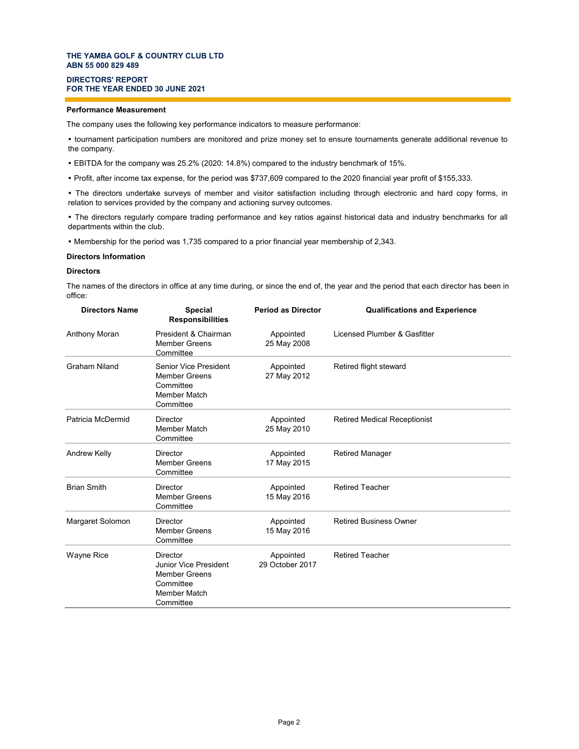## **DIRECTORS' REPORT FOR THE YEAR ENDED 30 JUNE 2021**

#### **Performance Measurement**

The company uses the following key performance indicators to measure performance:

 tournament participation numbers are monitored and prize money set to ensure tournaments generate additional revenue to the company.

EBITDA for the company was 25.2% (2020: 14.8%) compared to the industry benchmark of 15%.

• Profit, after income tax expense, for the period was \$737,609 compared to the 2020 financial year profit of \$155,333.

 The directors undertake surveys of member and visitor satisfaction including through electronic and hard copy forms, in relation to services provided by the company and actioning survey outcomes.

 The directors regularly compare trading performance and key ratios against historical data and industry benchmarks for all departments within the club.

Membership for the period was 1,735 compared to a prior financial year membership of 2,343.

#### **Directors Information**

#### **Directors**

The names of the directors in office at any time during, or since the end of, the year and the period that each director has been in office:

| <b>Directors Name</b> | <b>Special</b><br><b>Responsibilities</b>                                                                         | <b>Period as Director</b>    | <b>Qualifications and Experience</b> |
|-----------------------|-------------------------------------------------------------------------------------------------------------------|------------------------------|--------------------------------------|
| Anthony Moran         | President & Chairman<br><b>Member Greens</b><br>Committee                                                         | Appointed<br>25 May 2008     | Licensed Plumber & Gasfitter         |
| <b>Graham Niland</b>  | <b>Senior Vice President</b><br><b>Member Greens</b><br>Committee<br><b>Member Match</b><br>Committee             | Appointed<br>27 May 2012     | Retired flight steward               |
| Patricia McDermid     | Director<br>Member Match<br>Committee                                                                             | Appointed<br>25 May 2010     | <b>Retired Medical Receptionist</b>  |
| Andrew Kelly          | <b>Director</b><br><b>Member Greens</b><br>Committee                                                              | Appointed<br>17 May 2015     | <b>Retired Manager</b>               |
| <b>Brian Smith</b>    | Director<br><b>Member Greens</b><br>Committee                                                                     | Appointed<br>15 May 2016     | <b>Retired Teacher</b>               |
| Margaret Solomon      | <b>Director</b><br><b>Member Greens</b><br>Committee                                                              | Appointed<br>15 May 2016     | <b>Retired Business Owner</b>        |
| Wayne Rice            | Director<br><b>Junior Vice President</b><br><b>Member Greens</b><br>Committee<br><b>Member Match</b><br>Committee | Appointed<br>29 October 2017 | <b>Retired Teacher</b>               |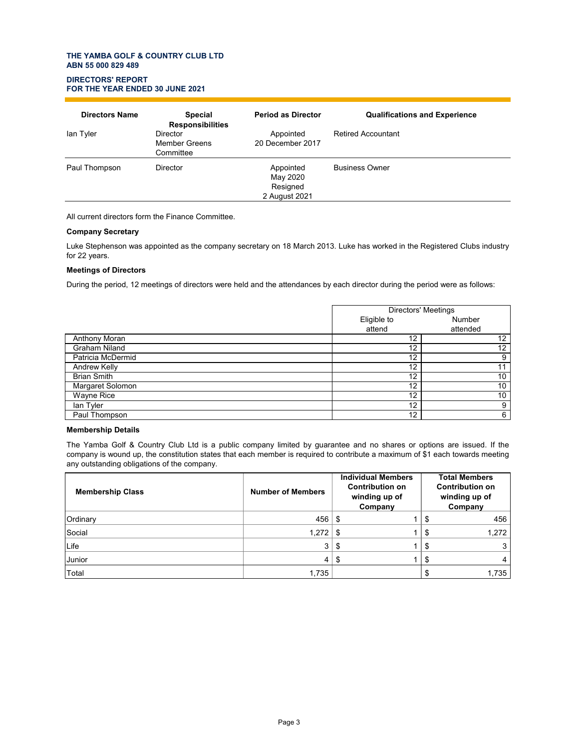## **DIRECTORS' REPORT FOR THE YEAR ENDED 30 JUNE 2021**

| <b>Directors Name</b> | <b>Special</b>                                                           | <b>Period as Director</b>                          | <b>Qualifications and Experience</b> |
|-----------------------|--------------------------------------------------------------------------|----------------------------------------------------|--------------------------------------|
| lan Tyler             | <b>Responsibilities</b><br>Director<br><b>Member Greens</b><br>Committee | Appointed<br>20 December 2017                      | <b>Retired Accountant</b>            |
| Paul Thompson         | <b>Director</b>                                                          | Appointed<br>May 2020<br>Resigned<br>2 August 2021 | <b>Business Owner</b>                |

All current directors form the Finance Committee.

# **Company Secretary**

Luke Stephenson was appointed as the company secretary on 18 March 2013. Luke has worked in the Registered Clubs industry for 22 years.

# **Meetings of Directors**

During the period, 12 meetings of directors were held and the attendances by each director during the period were as follows:

|                     | <b>Directors' Meetings</b> |          |  |
|---------------------|----------------------------|----------|--|
|                     | Eligible to                | Number   |  |
|                     | attend                     | attended |  |
| Anthony Moran       | 12                         | 12       |  |
| Graham Niland       | 12                         | 12       |  |
| Patricia McDermid   | 12                         | 9        |  |
| <b>Andrew Kelly</b> | 12                         | 11       |  |
| <b>Brian Smith</b>  | 12                         | 10       |  |
| Margaret Solomon    | 12                         | 10       |  |
| Wayne Rice          | 12                         | 10       |  |
| lan Tyler           | 12                         | 9        |  |
| Paul Thompson       | 12                         | 6        |  |

## **Membership Details**

The Yamba Golf & Country Club Ltd is a public company limited by guarantee and no shares or options are issued. If the company is wound up, the constitution states that each member is required to contribute a maximum of \$1 each towards meeting any outstanding obligations of the company.

| <b>Membership Class</b> | <b>Number of Members</b> | <b>Individual Members</b><br><b>Contribution on</b><br>winding up of<br>Company |     | <b>Total Members</b><br><b>Contribution on</b><br>winding up of<br>Company |
|-------------------------|--------------------------|---------------------------------------------------------------------------------|-----|----------------------------------------------------------------------------|
| Ordinary                | 456                      | - \$                                                                            | S   | 456                                                                        |
| Social                  | 1,272                    | \$                                                                              | Œ   | 1,272                                                                      |
| Life                    | 3                        | -S                                                                              | ъ   | 3                                                                          |
| Junior                  | 4 <sup>1</sup>           | \$                                                                              | \$  | 4                                                                          |
| Total                   | 1,735                    |                                                                                 | AD. | 1,735                                                                      |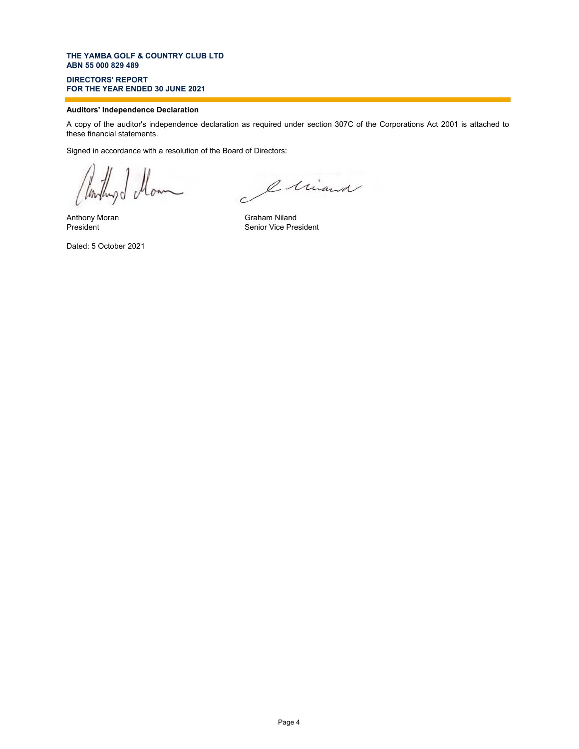# **DIRECTORS' REPORT FOR THE YEAR ENDED 30 JUNE 2021**

## **Auditors' Independence Declaration**

A copy of the auditor's independence declaration as required under section 307C of the Corporations Act 2001 is attached to these financial statements.

Signed in accordance with a resolution of the Board of Directors:

Mom  $\mathbb{Q}$ 

Dated: 5 October 2021

e Miand  $\subset$ 

Anthony Moran **Graham Niland** President **President** Senior Vice President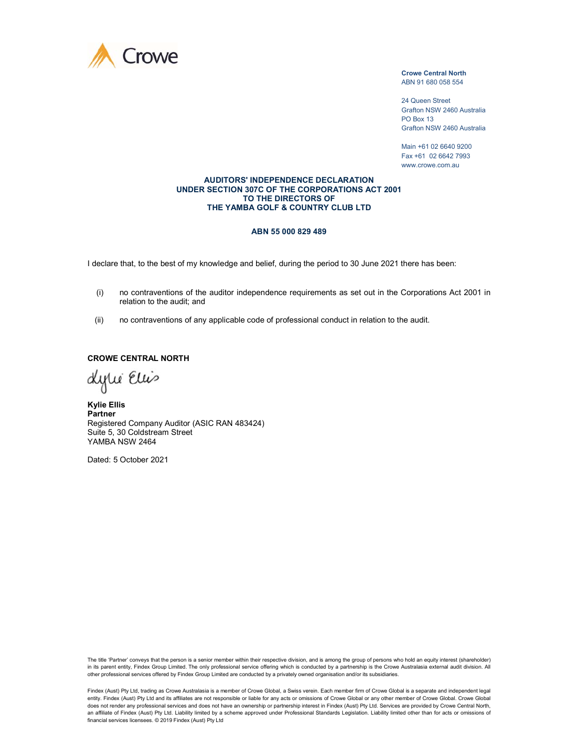

24 Queen Street Grafton NSW 2460 Australia PO Box 13 Grafton NSW 2460 Australia

Main +61 02 6640 9200 Fax +61 02 6642 7993 www.crowe.com.au

#### **AUDITORS' INDEPENDENCE DECLARATION UNDER SECTION 307C OF THE CORPORATIONS ACT 2001 TO THE DIRECTORS OF THE YAMBA GOLF & COUNTRY CLUB LTD**

# **ABN 55 000 829 489**

I declare that, to the best of my knowledge and belief, during the period to 30 June 2021 there has been:

- (i) no contraventions of the auditor independence requirements as set out in the Corporations Act 2001 in relation to the audit; and
- (ii) no contraventions of any applicable code of professional conduct in relation to the audit.

# **CROWE CENTRAL NORTH**

dytu Etus

**Kylie Ellis Partner**  Registered Company Auditor (ASIC RAN 483424) Suite 5, 30 Coldstream Street YAMBA NSW 2464

Dated: 5 October 2021

The title 'Partner' conveys that the person is a senior member within their respective division, and is among the group of persons who hold an equity interest (shareholder) in its parent entity, Findex Group Limited. The only professional service offering which is conducted by a partnership is the Crowe Australasia external audit division. All other professional services offered by Findex Group Limited are conducted by a privately owned organisation and/or its subsidiaries.

Findex (Aust) Pty Ltd, trading as Crowe Australasia is a member of Crowe Global, a Swiss verein. Each member firm of Crowe Global is a separate and independent legal entity. Findex (Aust) Pty Ltd and its affiliates are not responsible or liable for any acts or omissions of Crowe Global or any other member of Crowe Global. Crowe Global does not render any professional services and does not have an ownership or partnership interest in Findex (Aust) Pty Ltd. Services are provided by Crowe Central North, an affiliate of Findex (Aust) Pty Ltd. Liability limited by a scheme approved under Professional Standards Legislation. Liability limited other than for acts or omissions of financial services licensees. © 2019 Findex (Aust) Pty Ltd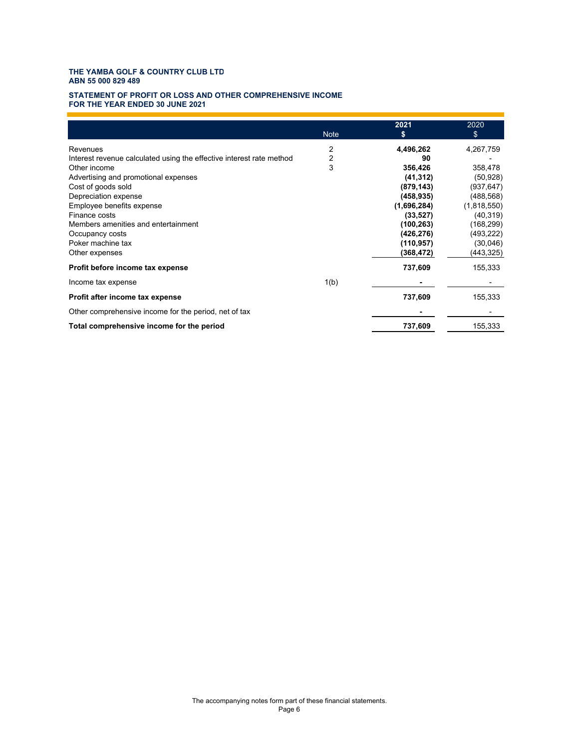#### **STATEMENT OF PROFIT OR LOSS AND OTHER COMPREHENSIVE INCOME FOR THE YEAR ENDED 30 JUNE 2021**

|                                                                      |                | 2021        | 2020        |
|----------------------------------------------------------------------|----------------|-------------|-------------|
|                                                                      | <b>Note</b>    | \$          | \$          |
| Revenues                                                             | 2              | 4,496,262   | 4,267,759   |
| Interest revenue calculated using the effective interest rate method | $\overline{2}$ | 90          |             |
| Other income                                                         | 3              | 356,426     | 358,478     |
| Advertising and promotional expenses                                 |                | (41, 312)   | (50, 928)   |
| Cost of goods sold                                                   |                | (879, 143)  | (937, 647)  |
| Depreciation expense                                                 |                | (458, 935)  | (488, 568)  |
| Employee benefits expense                                            |                | (1,696,284) | (1,818,550) |
| Finance costs                                                        |                | (33, 527)   | (40,319)    |
| Members amenities and entertainment                                  |                | (100, 263)  | (168, 299)  |
| Occupancy costs                                                      |                | (426, 276)  | (493, 222)  |
| Poker machine tax                                                    |                | (110, 957)  | (30,046)    |
| Other expenses                                                       |                | (368,472)   | (443, 325)  |
| Profit before income tax expense                                     |                | 737,609     | 155,333     |
| Income tax expense                                                   | 1(b)           |             |             |
| Profit after income tax expense                                      |                | 737,609     | 155,333     |
| Other comprehensive income for the period, net of tax                |                |             |             |
| Total comprehensive income for the period                            |                | 737,609     | 155,333     |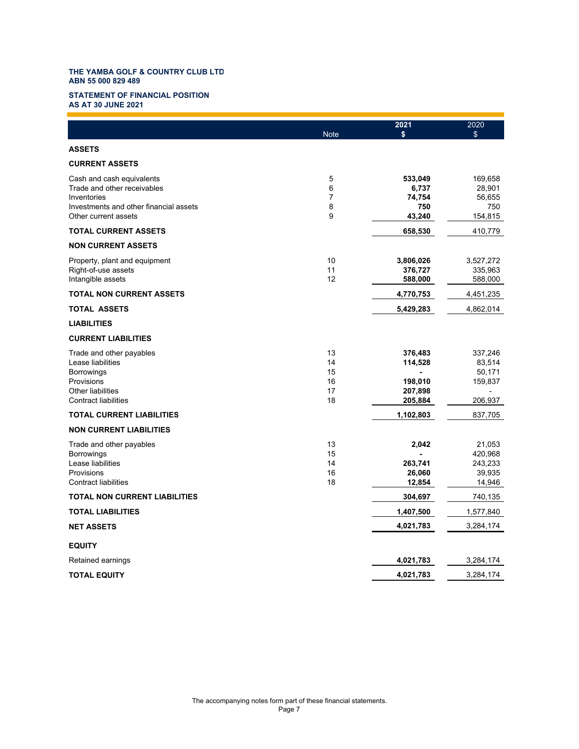#### **STATEMENT OF FINANCIAL POSITION AS AT 30 JUNE 2021**

|                                                                                                                                             | <b>Note</b>                        | 2021<br>\$                                          | 2020<br>\$                                        |
|---------------------------------------------------------------------------------------------------------------------------------------------|------------------------------------|-----------------------------------------------------|---------------------------------------------------|
| <b>ASSETS</b>                                                                                                                               |                                    |                                                     |                                                   |
| <b>CURRENT ASSETS</b>                                                                                                                       |                                    |                                                     |                                                   |
| Cash and cash equivalents<br>Trade and other receivables<br>Inventories<br>Investments and other financial assets<br>Other current assets   | 5<br>6<br>$\overline{7}$<br>8<br>9 | 533,049<br>6,737<br>74,754<br>750<br>43,240         | 169,658<br>28,901<br>56,655<br>750<br>154,815     |
| <b>TOTAL CURRENT ASSETS</b>                                                                                                                 |                                    | 658,530                                             | 410,779                                           |
| <b>NON CURRENT ASSETS</b>                                                                                                                   |                                    |                                                     |                                                   |
| Property, plant and equipment<br>Right-of-use assets<br>Intangible assets                                                                   | 10<br>11<br>12                     | 3,806,026<br>376,727<br>588,000                     | 3,527,272<br>335,963<br>588,000                   |
| <b>TOTAL NON CURRENT ASSETS</b>                                                                                                             |                                    | 4,770,753                                           | 4,451,235                                         |
| <b>TOTAL ASSETS</b>                                                                                                                         |                                    | 5,429,283                                           | 4,862,014                                         |
| <b>LIABILITIES</b>                                                                                                                          |                                    |                                                     |                                                   |
| <b>CURRENT LIABILITIES</b>                                                                                                                  |                                    |                                                     |                                                   |
| Trade and other payables<br>Lease liabilities<br><b>Borrowings</b><br>Provisions<br><b>Other liabilities</b><br><b>Contract liabilities</b> | 13<br>14<br>15<br>16<br>17<br>18   | 376,483<br>114,528<br>198,010<br>207,898<br>205,884 | 337,246<br>83,514<br>50,171<br>159,837<br>206,937 |
| <b>TOTAL CURRENT LIABILITIES</b>                                                                                                            |                                    | 1,102,803                                           | 837,705                                           |
| <b>NON CURRENT LIABILITIES</b>                                                                                                              |                                    |                                                     |                                                   |
| Trade and other payables<br><b>Borrowings</b><br>Lease liabilities<br>Provisions<br><b>Contract liabilities</b>                             | 13<br>15<br>14<br>16<br>18         | 2,042<br>263,741<br>26,060<br>12,854                | 21,053<br>420,968<br>243,233<br>39,935<br>14,946  |
| <b>TOTAL NON CURRENT LIABILITIES</b>                                                                                                        |                                    | 304,697                                             | 740,135                                           |
| <b>TOTAL LIABILITIES</b>                                                                                                                    |                                    | 1,407,500                                           | 1,577,840                                         |
| <b>NET ASSETS</b>                                                                                                                           |                                    | 4,021,783                                           | 3,284,174                                         |
| <b>EQUITY</b>                                                                                                                               |                                    |                                                     |                                                   |
| Retained earnings                                                                                                                           |                                    | 4,021,783                                           | 3,284,174                                         |
| <b>TOTAL EQUITY</b>                                                                                                                         |                                    | 4,021,783                                           | 3,284,174                                         |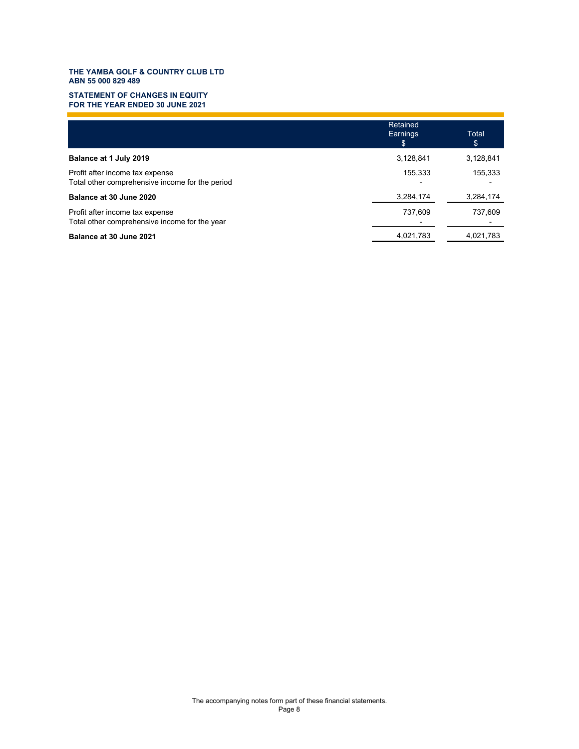# **ABN 55 000 829 489 THE YAMBA GOLF & COUNTRY CLUB LTD**

#### **STATEMENT OF CHANGES IN EQUITY FOR THE YEAR ENDED 30 JUNE 2021**

|                                                                                    | <b>Retained</b><br>Earnings<br>\$ | Total<br>\$ |
|------------------------------------------------------------------------------------|-----------------------------------|-------------|
| Balance at 1 July 2019                                                             | 3,128,841                         | 3,128,841   |
| Profit after income tax expense<br>Total other comprehensive income for the period | 155,333                           | 155,333     |
| Balance at 30 June 2020                                                            | 3,284,174                         | 3,284,174   |
| Profit after income tax expense<br>Total other comprehensive income for the year   | 737.609                           | 737,609     |
| Balance at 30 June 2021                                                            | 4,021,783                         | 4,021,783   |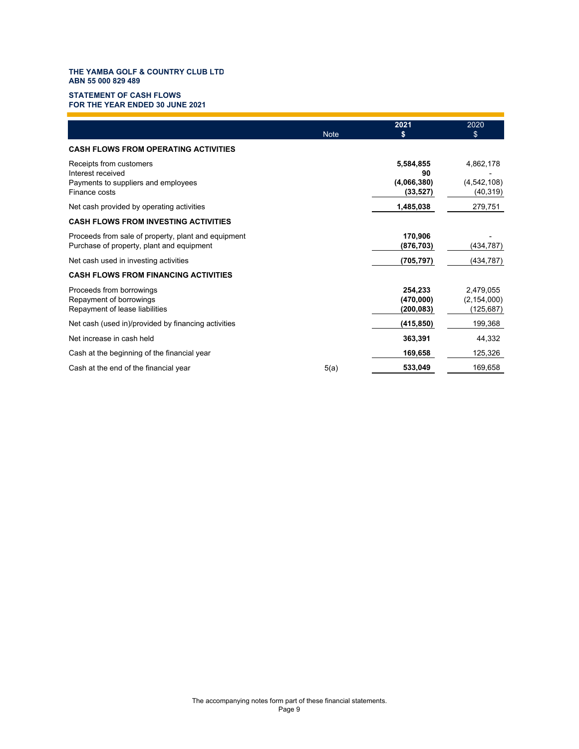#### **STATEMENT OF CASH FLOWS FOR THE YEAR ENDED 30 JUNE 2021**

|                                                                                                      | <b>Note</b> | 2021<br>\$                                  | 2020<br>\$                              |
|------------------------------------------------------------------------------------------------------|-------------|---------------------------------------------|-----------------------------------------|
| <b>CASH FLOWS FROM OPERATING ACTIVITIES</b>                                                          |             |                                             |                                         |
| Receipts from customers<br>Interest received<br>Payments to suppliers and employees<br>Finance costs |             | 5,584,855<br>90<br>(4,066,380)<br>(33, 527) | 4,862,178<br>(4, 542, 108)<br>(40, 319) |
| Net cash provided by operating activities                                                            |             | 1,485,038                                   | 279,751                                 |
| <b>CASH FLOWS FROM INVESTING ACTIVITIES</b>                                                          |             |                                             |                                         |
| Proceeds from sale of property, plant and equipment<br>Purchase of property, plant and equipment     |             | 170,906<br>(876,703)                        | (434,787)                               |
| Net cash used in investing activities                                                                |             | (705,797)                                   | (434,787)                               |
| <b>CASH FLOWS FROM FINANCING ACTIVITIES</b>                                                          |             |                                             |                                         |
| Proceeds from borrowings<br>Repayment of borrowings<br>Repayment of lease liabilities                |             | 254,233<br>(470,000)<br>(200,083)           | 2,479,055<br>(2, 154, 000)<br>(125,687) |
| Net cash (used in)/provided by financing activities                                                  |             | (415,850)                                   | 199,368                                 |
| Net increase in cash held                                                                            |             | 363,391                                     | 44,332                                  |
| Cash at the beginning of the financial year                                                          |             | 169,658                                     | 125,326                                 |
| Cash at the end of the financial year                                                                | 5(a)        | 533,049                                     | 169,658                                 |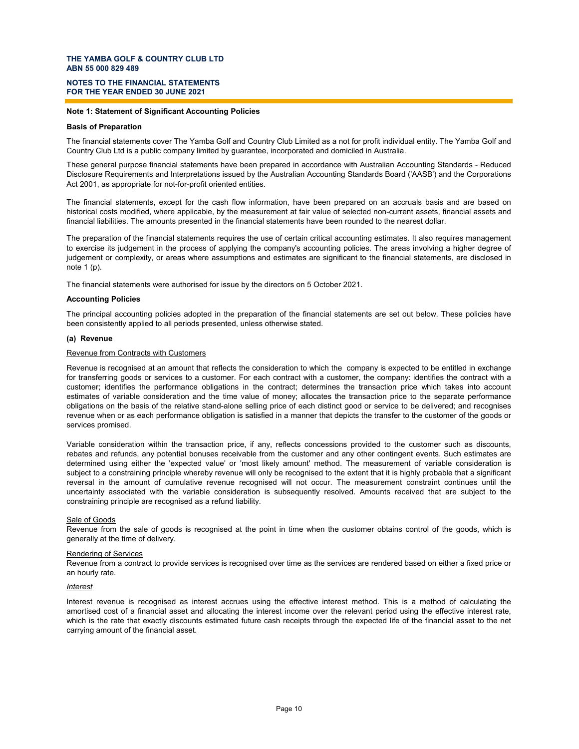## **NOTES TO THE FINANCIAL STATEMENTS FOR THE YEAR ENDED 30 JUNE 2021**

#### **Note 1: Statement of Significant Accounting Policies**

#### **Basis of Preparation**

The financial statements cover The Yamba Golf and Country Club Limited as a not for profit individual entity. The Yamba Golf and Country Club Ltd is a public company limited by guarantee, incorporated and domiciled in Australia.

These general purpose financial statements have been prepared in accordance with Australian Accounting Standards - Reduced Disclosure Requirements and Interpretations issued by the Australian Accounting Standards Board ('AASB') and the Corporations Act 2001, as appropriate for not-for-profit oriented entities.

The financial statements, except for the cash flow information, have been prepared on an accruals basis and are based on historical costs modified, where applicable, by the measurement at fair value of selected non-current assets, financial assets and financial liabilities. The amounts presented in the financial statements have been rounded to the nearest dollar.

The preparation of the financial statements requires the use of certain critical accounting estimates. It also requires management to exercise its judgement in the process of applying the company's accounting policies. The areas involving a higher degree of judgement or complexity, or areas where assumptions and estimates are significant to the financial statements, are disclosed in note 1 (p).

The financial statements were authorised for issue by the directors on 5 October 2021.

#### **Accounting Policies**

The principal accounting policies adopted in the preparation of the financial statements are set out below. These policies have been consistently applied to all periods presented, unless otherwise stated.

#### **(a) Revenue**

#### Revenue from Contracts with Customers

Revenue is recognised at an amount that reflects the consideration to which the company is expected to be entitled in exchange for transferring goods or services to a customer. For each contract with a customer, the company: identifies the contract with a customer; identifies the performance obligations in the contract; determines the transaction price which takes into account estimates of variable consideration and the time value of money; allocates the transaction price to the separate performance obligations on the basis of the relative stand-alone selling price of each distinct good or service to be delivered; and recognises revenue when or as each performance obligation is satisfied in a manner that depicts the transfer to the customer of the goods or services promised.

Variable consideration within the transaction price, if any, reflects concessions provided to the customer such as discounts, rebates and refunds, any potential bonuses receivable from the customer and any other contingent events. Such estimates are determined using either the 'expected value' or 'most likely amount' method. The measurement of variable consideration is subject to a constraining principle whereby revenue will only be recognised to the extent that it is highly probable that a significant reversal in the amount of cumulative revenue recognised will not occur. The measurement constraint continues until the uncertainty associated with the variable consideration is subsequently resolved. Amounts received that are subject to the constraining principle are recognised as a refund liability.

#### Sale of Goods

Revenue from the sale of goods is recognised at the point in time when the customer obtains control of the goods, which is generally at the time of delivery.

#### Rendering of Services

Revenue from a contract to provide services is recognised over time as the services are rendered based on either a fixed price or an hourly rate.

#### *Interest*

Interest revenue is recognised as interest accrues using the effective interest method. This is a method of calculating the amortised cost of a financial asset and allocating the interest income over the relevant period using the effective interest rate, which is the rate that exactly discounts estimated future cash receipts through the expected life of the financial asset to the net carrying amount of the financial asset.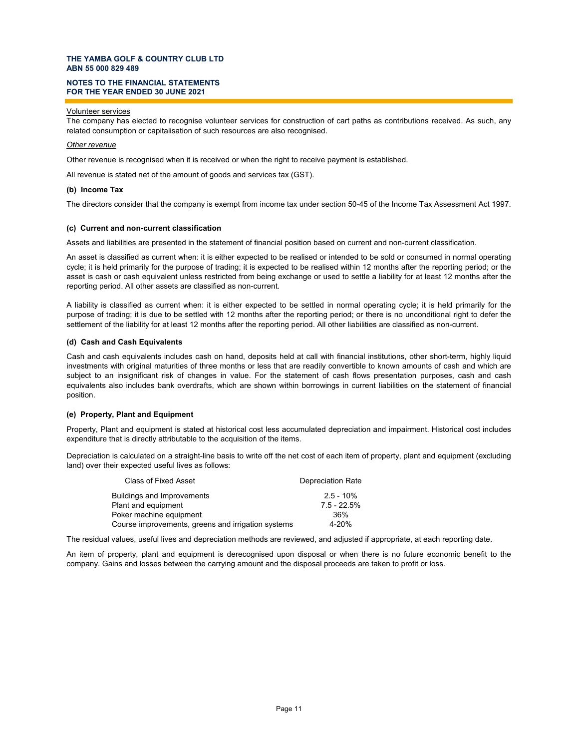## **NOTES TO THE FINANCIAL STATEMENTS FOR THE YEAR ENDED 30 JUNE 2021**

#### Volunteer services

The company has elected to recognise volunteer services for construction of cart paths as contributions received. As such, any related consumption or capitalisation of such resources are also recognised.

#### *Other revenue*

Other revenue is recognised when it is received or when the right to receive payment is established.

All revenue is stated net of the amount of goods and services tax (GST).

## **(b) Income Tax**

The directors consider that the company is exempt from income tax under section 50-45 of the Income Tax Assessment Act 1997.

## **(c) Current and non-current classification**

Assets and liabilities are presented in the statement of financial position based on current and non-current classification.

An asset is classified as current when: it is either expected to be realised or intended to be sold or consumed in normal operating cycle; it is held primarily for the purpose of trading; it is expected to be realised within 12 months after the reporting period; or the asset is cash or cash equivalent unless restricted from being exchange or used to settle a liability for at least 12 months after the reporting period. All other assets are classified as non-current.

A liability is classified as current when: it is either expected to be settled in normal operating cycle; it is held primarily for the purpose of trading; it is due to be settled with 12 months after the reporting period; or there is no unconditional right to defer the settlement of the liability for at least 12 months after the reporting period. All other liabilities are classified as non-current.

## **(d) Cash and Cash Equivalents**

Cash and cash equivalents includes cash on hand, deposits held at call with financial institutions, other short-term, highly liquid investments with original maturities of three months or less that are readily convertible to known amounts of cash and which are subject to an insignificant risk of changes in value. For the statement of cash flows presentation purposes, cash and cash equivalents also includes bank overdrafts, which are shown within borrowings in current liabilities on the statement of financial position.

## **(e) Property, Plant and Equipment**

Property, Plant and equipment is stated at historical cost less accumulated depreciation and impairment. Historical cost includes expenditure that is directly attributable to the acquisition of the items.

Depreciation is calculated on a straight-line basis to write off the net cost of each item of property, plant and equipment (excluding land) over their expected useful lives as follows:

| Class of Fixed Asset                               | Depreciation Rate |
|----------------------------------------------------|-------------------|
| <b>Buildings and Improvements</b>                  | $2.5 - 10\%$      |
| Plant and equipment                                | $7.5 - 22.5%$     |
| Poker machine equipment                            | 36%               |
| Course improvements, greens and irrigation systems | 4-20%             |

The residual values, useful lives and depreciation methods are reviewed, and adjusted if appropriate, at each reporting date.

An item of property, plant and equipment is derecognised upon disposal or when there is no future economic benefit to the company. Gains and losses between the carrying amount and the disposal proceeds are taken to profit or loss.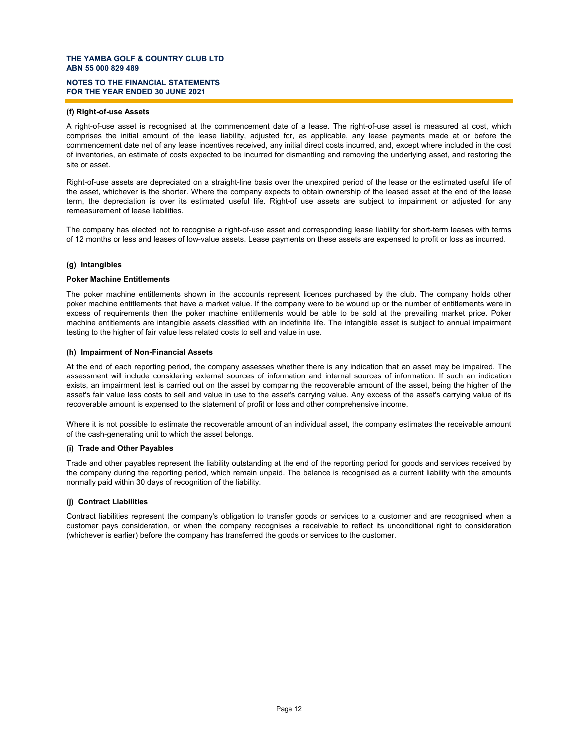## **NOTES TO THE FINANCIAL STATEMENTS FOR THE YEAR ENDED 30 JUNE 2021**

#### **(f) Right-of-use Assets**

A right-of-use asset is recognised at the commencement date of a lease. The right-of-use asset is measured at cost, which comprises the initial amount of the lease liability, adjusted for, as applicable, any lease payments made at or before the commencement date net of any lease incentives received, any initial direct costs incurred, and, except where included in the cost of inventories, an estimate of costs expected to be incurred for dismantling and removing the underlying asset, and restoring the site or asset.

Right-of-use assets are depreciated on a straight-line basis over the unexpired period of the lease or the estimated useful life of the asset, whichever is the shorter. Where the company expects to obtain ownership of the leased asset at the end of the lease term, the depreciation is over its estimated useful life. Right-of use assets are subject to impairment or adjusted for any remeasurement of lease liabilities.

The company has elected not to recognise a right-of-use asset and corresponding lease liability for short-term leases with terms of 12 months or less and leases of low-value assets. Lease payments on these assets are expensed to profit or loss as incurred.

## **(g) Intangibles**

## **Poker Machine Entitlements**

The poker machine entitlements shown in the accounts represent licences purchased by the club. The company holds other poker machine entitlements that have a market value. If the company were to be wound up or the number of entitlements were in excess of requirements then the poker machine entitlements would be able to be sold at the prevailing market price. Poker machine entitlements are intangible assets classified with an indefinite life. The intangible asset is subject to annual impairment testing to the higher of fair value less related costs to sell and value in use.

#### **(h) Impairment of Non-Financial Assets**

At the end of each reporting period, the company assesses whether there is any indication that an asset may be impaired. The assessment will include considering external sources of information and internal sources of information. If such an indication exists, an impairment test is carried out on the asset by comparing the recoverable amount of the asset, being the higher of the asset's fair value less costs to sell and value in use to the asset's carrying value. Any excess of the asset's carrying value of its recoverable amount is expensed to the statement of profit or loss and other comprehensive income.

Where it is not possible to estimate the recoverable amount of an individual asset, the company estimates the receivable amount of the cash-generating unit to which the asset belongs.

#### **(i) Trade and Other Payables**

Trade and other payables represent the liability outstanding at the end of the reporting period for goods and services received by the company during the reporting period, which remain unpaid. The balance is recognised as a current liability with the amounts normally paid within 30 days of recognition of the liability.

## **(j) Contract Liabilities**

Contract liabilities represent the company's obligation to transfer goods or services to a customer and are recognised when a customer pays consideration, or when the company recognises a receivable to reflect its unconditional right to consideration (whichever is earlier) before the company has transferred the goods or services to the customer.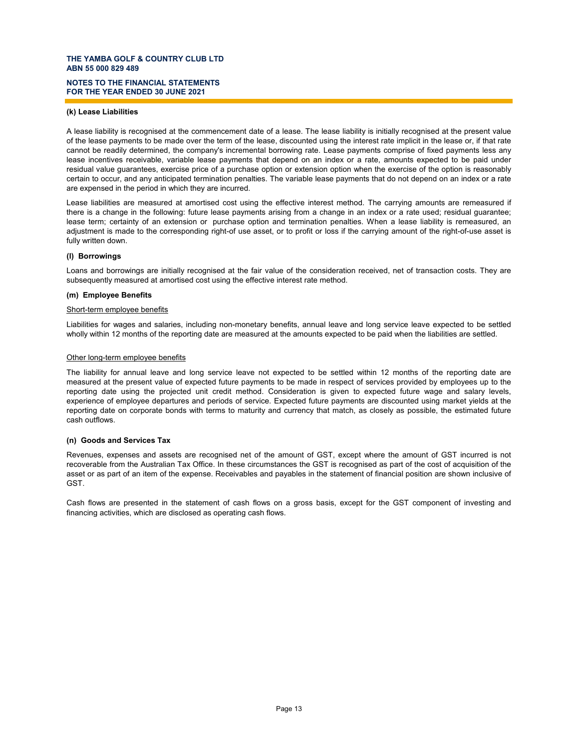## **NOTES TO THE FINANCIAL STATEMENTS FOR THE YEAR ENDED 30 JUNE 2021**

## **(k) Lease Liabilities**

A lease liability is recognised at the commencement date of a lease. The lease liability is initially recognised at the present value of the lease payments to be made over the term of the lease, discounted using the interest rate implicit in the lease or, if that rate cannot be readily determined, the company's incremental borrowing rate. Lease payments comprise of fixed payments less any lease incentives receivable, variable lease payments that depend on an index or a rate, amounts expected to be paid under residual value guarantees, exercise price of a purchase option or extension option when the exercise of the option is reasonably certain to occur, and any anticipated termination penalties. The variable lease payments that do not depend on an index or a rate are expensed in the period in which they are incurred.

Lease liabilities are measured at amortised cost using the effective interest method. The carrying amounts are remeasured if there is a change in the following: future lease payments arising from a change in an index or a rate used; residual guarantee; lease term; certainty of an extension or purchase option and termination penalties. When a lease liability is remeasured, an adjustment is made to the corresponding right-of use asset, or to profit or loss if the carrying amount of the right-of-use asset is fully written down.

#### **(l) Borrowings**

Loans and borrowings are initially recognised at the fair value of the consideration received, net of transaction costs. They are subsequently measured at amortised cost using the effective interest rate method.

# **(m) Employee Benefits**

#### Short-term employee benefits

Liabilities for wages and salaries, including non-monetary benefits, annual leave and long service leave expected to be settled wholly within 12 months of the reporting date are measured at the amounts expected to be paid when the liabilities are settled.

#### Other long-term employee benefits

The liability for annual leave and long service leave not expected to be settled within 12 months of the reporting date are measured at the present value of expected future payments to be made in respect of services provided by employees up to the reporting date using the projected unit credit method. Consideration is given to expected future wage and salary levels, experience of employee departures and periods of service. Expected future payments are discounted using market yields at the reporting date on corporate bonds with terms to maturity and currency that match, as closely as possible, the estimated future cash outflows.

#### **(n) Goods and Services Tax**

Revenues, expenses and assets are recognised net of the amount of GST, except where the amount of GST incurred is not recoverable from the Australian Tax Office. In these circumstances the GST is recognised as part of the cost of acquisition of the asset or as part of an item of the expense. Receivables and payables in the statement of financial position are shown inclusive of GST.

Cash flows are presented in the statement of cash flows on a gross basis, except for the GST component of investing and financing activities, which are disclosed as operating cash flows.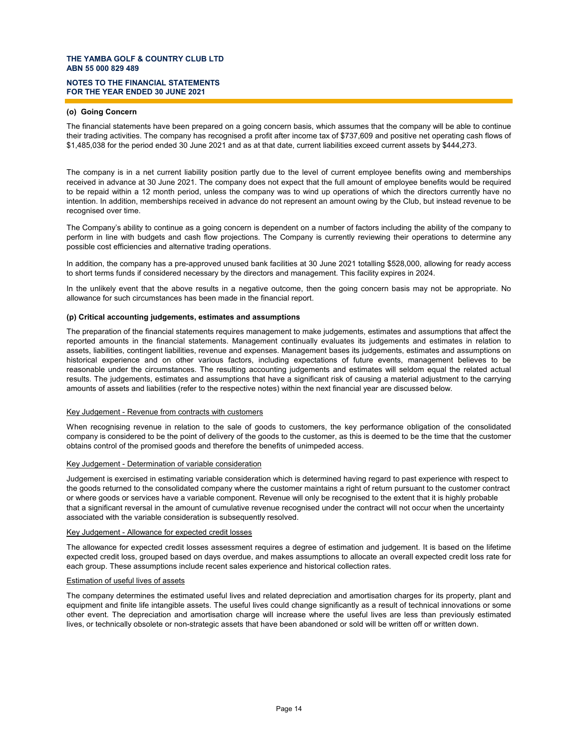## **NOTES TO THE FINANCIAL STATEMENTS FOR THE YEAR ENDED 30 JUNE 2021**

## **(o) Going Concern**

The financial statements have been prepared on a going concern basis, which assumes that the company will be able to continue their trading activities. The company has recognised a profit after income tax of \$737,609 and positive net operating cash flows of \$1,485,038 for the period ended 30 June 2021 and as at that date, current liabilities exceed current assets by \$444,273.

The company is in a net current liability position partly due to the level of current employee benefits owing and memberships received in advance at 30 June 2021. The company does not expect that the full amount of employee benefits would be required to be repaid within a 12 month period, unless the company was to wind up operations of which the directors currently have no intention. In addition, memberships received in advance do not represent an amount owing by the Club, but instead revenue to be recognised over time.

The Company's ability to continue as a going concern is dependent on a number of factors including the ability of the company to perform in line with budgets and cash flow projections. The Company is currently reviewing their operations to determine any possible cost efficiencies and alternative trading operations.

In addition, the company has a pre-approved unused bank facilities at 30 June 2021 totalling \$528,000, allowing for ready access to short terms funds if considered necessary by the directors and management. This facility expires in 2024.

In the unlikely event that the above results in a negative outcome, then the going concern basis may not be appropriate. No allowance for such circumstances has been made in the financial report.

## **(p) Critical accounting judgements, estimates and assumptions**

The preparation of the financial statements requires management to make judgements, estimates and assumptions that affect the reported amounts in the financial statements. Management continually evaluates its judgements and estimates in relation to assets, liabilities, contingent liabilities, revenue and expenses. Management bases its judgements, estimates and assumptions on historical experience and on other various factors, including expectations of future events, management believes to be reasonable under the circumstances. The resulting accounting judgements and estimates will seldom equal the related actual results. The judgements, estimates and assumptions that have a significant risk of causing a material adjustment to the carrying amounts of assets and liabilities (refer to the respective notes) within the next financial year are discussed below.

#### Key Judgement - Revenue from contracts with customers

When recognising revenue in relation to the sale of goods to customers, the key performance obligation of the consolidated company is considered to be the point of delivery of the goods to the customer, as this is deemed to be the time that the customer obtains control of the promised goods and therefore the benefits of unimpeded access.

#### Key Judgement - Determination of variable consideration

Judgement is exercised in estimating variable consideration which is determined having regard to past experience with respect to the goods returned to the consolidated company where the customer maintains a right of return pursuant to the customer contract or where goods or services have a variable component. Revenue will only be recognised to the extent that it is highly probable that a significant reversal in the amount of cumulative revenue recognised under the contract will not occur when the uncertainty associated with the variable consideration is subsequently resolved.

# Key Judgement - Allowance for expected credit losses

The allowance for expected credit losses assessment requires a degree of estimation and judgement. It is based on the lifetime expected credit loss, grouped based on days overdue, and makes assumptions to allocate an overall expected credit loss rate for each group. These assumptions include recent sales experience and historical collection rates.

## Estimation of useful lives of assets

The company determines the estimated useful lives and related depreciation and amortisation charges for its property, plant and equipment and finite life intangible assets. The useful lives could change significantly as a result of technical innovations or some other event. The depreciation and amortisation charge will increase where the useful lives are less than previously estimated lives, or technically obsolete or non-strategic assets that have been abandoned or sold will be written off or written down.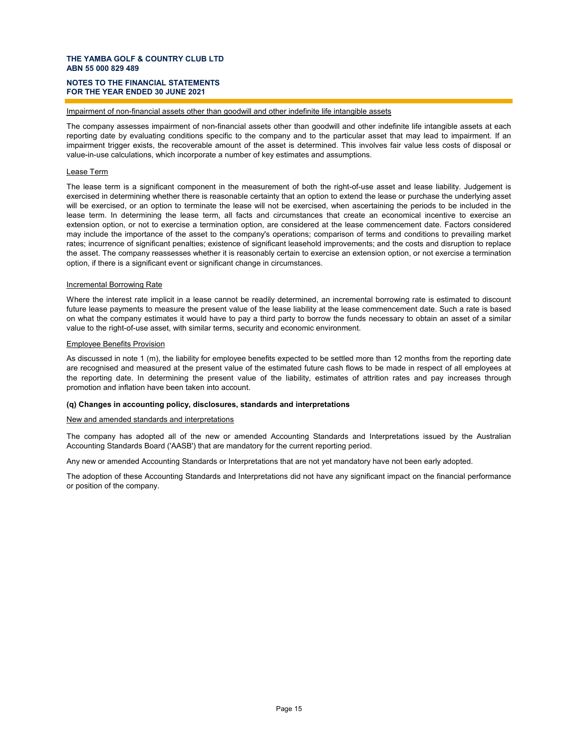## **NOTES TO THE FINANCIAL STATEMENTS FOR THE YEAR ENDED 30 JUNE 2021**

#### Impairment of non-financial assets other than goodwill and other indefinite life intangible assets

The company assesses impairment of non-financial assets other than goodwill and other indefinite life intangible assets at each reporting date by evaluating conditions specific to the company and to the particular asset that may lead to impairment. If an impairment trigger exists, the recoverable amount of the asset is determined. This involves fair value less costs of disposal or value-in-use calculations, which incorporate a number of key estimates and assumptions.

#### Lease Term

The lease term is a significant component in the measurement of both the right-of-use asset and lease liability. Judgement is exercised in determining whether there is reasonable certainty that an option to extend the lease or purchase the underlying asset will be exercised, or an option to terminate the lease will not be exercised, when ascertaining the periods to be included in the lease term. In determining the lease term, all facts and circumstances that create an economical incentive to exercise an extension option, or not to exercise a termination option, are considered at the lease commencement date. Factors considered may include the importance of the asset to the company's operations; comparison of terms and conditions to prevailing market rates; incurrence of significant penalties; existence of significant leasehold improvements; and the costs and disruption to replace the asset. The company reassesses whether it is reasonably certain to exercise an extension option, or not exercise a termination option, if there is a significant event or significant change in circumstances.

#### Incremental Borrowing Rate

Where the interest rate implicit in a lease cannot be readily determined, an incremental borrowing rate is estimated to discount future lease payments to measure the present value of the lease liability at the lease commencement date. Such a rate is based on what the company estimates it would have to pay a third party to borrow the funds necessary to obtain an asset of a similar value to the right-of-use asset, with similar terms, security and economic environment.

#### Employee Benefits Provision

As discussed in note 1 (m), the liability for employee benefits expected to be settled more than 12 months from the reporting date are recognised and measured at the present value of the estimated future cash flows to be made in respect of all employees at the reporting date. In determining the present value of the liability, estimates of attrition rates and pay increases through promotion and inflation have been taken into account.

## **(q) Changes in accounting policy, disclosures, standards and interpretations**

## New and amended standards and interpretations

The company has adopted all of the new or amended Accounting Standards and Interpretations issued by the Australian Accounting Standards Board ('AASB') that are mandatory for the current reporting period.

Any new or amended Accounting Standards or Interpretations that are not yet mandatory have not been early adopted.

The adoption of these Accounting Standards and Interpretations did not have any significant impact on the financial performance or position of the company.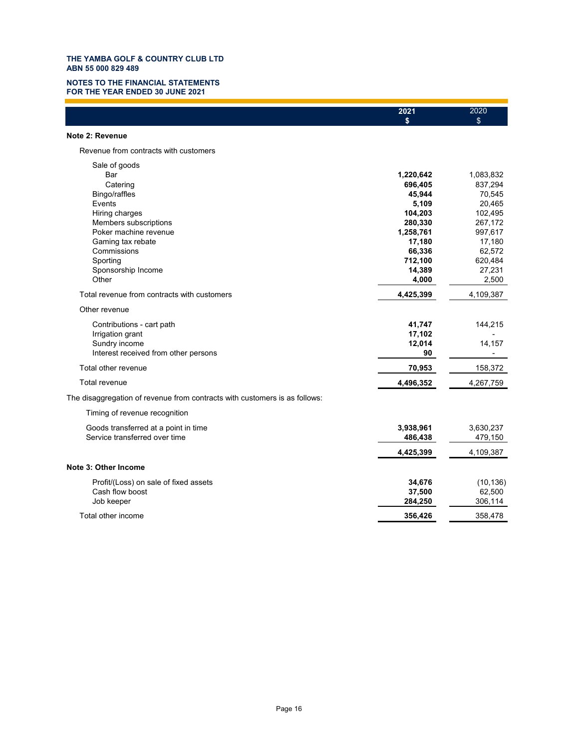#### **NOTES TO THE FINANCIAL STATEMENTS FOR THE YEAR ENDED 30 JUNE 2021**

|                                                                                                                                                                                                       | 2021<br>S                                                                                                           | 2020<br>\$                                                                                                         |
|-------------------------------------------------------------------------------------------------------------------------------------------------------------------------------------------------------|---------------------------------------------------------------------------------------------------------------------|--------------------------------------------------------------------------------------------------------------------|
| Note 2: Revenue                                                                                                                                                                                       |                                                                                                                     |                                                                                                                    |
| Revenue from contracts with customers                                                                                                                                                                 |                                                                                                                     |                                                                                                                    |
| Sale of goods<br>Bar<br>Catering<br>Bingo/raffles<br>Events<br>Hiring charges<br>Members subscriptions<br>Poker machine revenue<br>Gaming tax rebate<br>Commissions<br>Sporting<br>Sponsorship Income | 1,220,642<br>696,405<br>45,944<br>5,109<br>104,203<br>280,330<br>1,258,761<br>17,180<br>66,336<br>712,100<br>14,389 | 1,083,832<br>837,294<br>70,545<br>20,465<br>102,495<br>267,172<br>997,617<br>17,180<br>62,572<br>620,484<br>27,231 |
| Other                                                                                                                                                                                                 | 4,000                                                                                                               | 2,500                                                                                                              |
| Total revenue from contracts with customers                                                                                                                                                           | 4,425,399                                                                                                           | 4,109,387                                                                                                          |
| Other revenue                                                                                                                                                                                         |                                                                                                                     |                                                                                                                    |
| Contributions - cart path<br>Irrigation grant<br>Sundry income<br>Interest received from other persons                                                                                                | 41,747<br>17,102<br>12,014<br>90                                                                                    | 144,215<br>14,157                                                                                                  |
| Total other revenue                                                                                                                                                                                   | 70,953                                                                                                              | 158,372                                                                                                            |
| <b>Total revenue</b>                                                                                                                                                                                  | 4,496,352                                                                                                           | 4,267,759                                                                                                          |
| The disaggregation of revenue from contracts with customers is as follows:<br>Timing of revenue recognition                                                                                           | 3,938,961                                                                                                           | 3,630,237                                                                                                          |
| Goods transferred at a point in time<br>Service transferred over time                                                                                                                                 | 486,438                                                                                                             | 479,150                                                                                                            |
|                                                                                                                                                                                                       | 4,425,399                                                                                                           | 4,109,387                                                                                                          |
| Note 3: Other Income                                                                                                                                                                                  |                                                                                                                     |                                                                                                                    |
| Profit/(Loss) on sale of fixed assets<br>Cash flow boost<br>Job keeper                                                                                                                                | 34,676<br>37,500<br>284,250                                                                                         | (10, 136)<br>62,500<br>306,114                                                                                     |
| Total other income                                                                                                                                                                                    | 356,426                                                                                                             | 358,478                                                                                                            |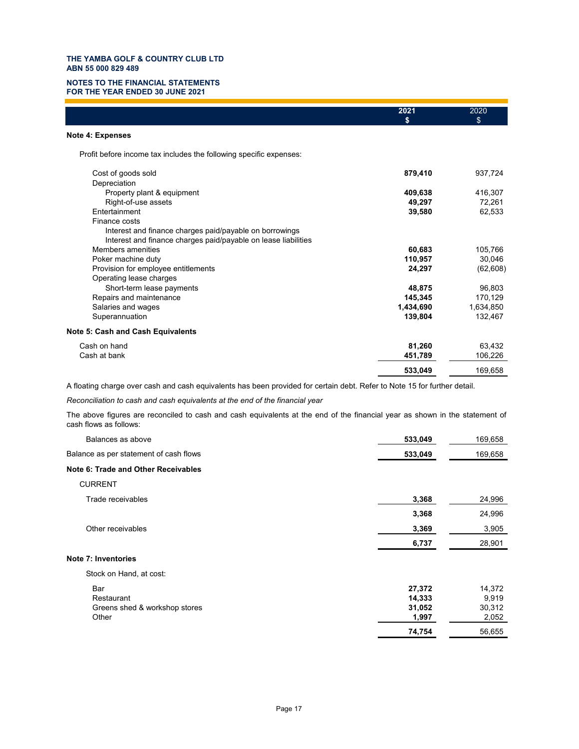#### **NOTES TO THE FINANCIAL STATEMENTS FOR THE YEAR ENDED 30 JUNE 2021**

|                                                                    | 2021      | 2020      |
|--------------------------------------------------------------------|-----------|-----------|
|                                                                    | \$        | \$        |
| <b>Note 4: Expenses</b>                                            |           |           |
| Profit before income tax includes the following specific expenses: |           |           |
| Cost of goods sold                                                 | 879,410   | 937,724   |
| Depreciation                                                       |           |           |
| Property plant & equipment                                         | 409,638   | 416,307   |
| Right-of-use assets                                                | 49,297    | 72,261    |
| <b>Fntertainment</b>                                               | 39,580    | 62,533    |
| Finance costs                                                      |           |           |
| Interest and finance charges paid/payable on borrowings            |           |           |
| Interest and finance charges paid/payable on lease liabilities     |           |           |
| Members amenities                                                  | 60,683    | 105,766   |
| Poker machine duty                                                 | 110,957   | 30,046    |
| Provision for employee entitlements                                | 24,297    | (62, 608) |
| Operating lease charges                                            |           |           |
| Short-term lease payments                                          | 48,875    | 96,803    |
| Repairs and maintenance                                            | 145,345   | 170,129   |
| Salaries and wages                                                 | 1,434,690 | 1,634,850 |
| Superannuation                                                     | 139,804   | 132,467   |
| <b>Note 5: Cash and Cash Equivalents</b>                           |           |           |
| Cash on hand                                                       | 81,260    | 63,432    |
| Cash at bank                                                       | 451,789   | 106,226   |
|                                                                    | 533,049   | 169,658   |

A floating charge over cash and cash equivalents has been provided for certain debt. Refer to Note 15 for further detail.

*Reconciliation to cash and cash equivalents at the end of the financial year*

The above figures are reconciled to cash and cash equivalents at the end of the financial year as shown in the statement of cash flows as follows:

| Balances as above                      | 533,049 | 169,658 |
|----------------------------------------|---------|---------|
| Balance as per statement of cash flows | 533,049 | 169,658 |
| Note 6: Trade and Other Receivables    |         |         |
| <b>CURRENT</b>                         |         |         |
| Trade receivables                      | 3,368   | 24,996  |
|                                        | 3,368   | 24,996  |
| Other receivables                      | 3,369   | 3,905   |
|                                        | 6,737   | 28,901  |
| Note 7: Inventories                    |         |         |
| Stock on Hand, at cost:                |         |         |
| Bar                                    | 27,372  | 14,372  |
| Restaurant                             | 14,333  | 9,919   |
| Greens shed & workshop stores          | 31,052  | 30,312  |
| Other                                  | 1,997   | 2,052   |
|                                        | 74,754  | 56,655  |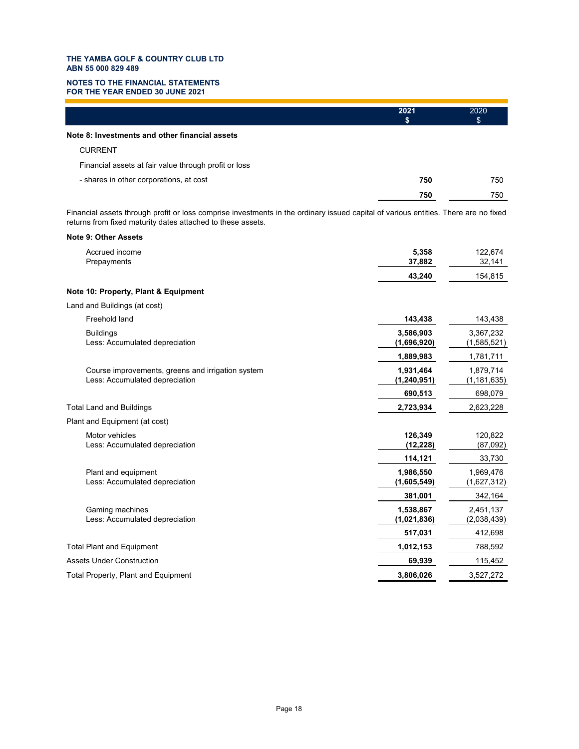#### **NOTES TO THE FINANCIAL STATEMENTS FOR THE YEAR ENDED 30 JUNE 2021**

|                                                                                                                                                                                                    | 2021                       | 2020                       |
|----------------------------------------------------------------------------------------------------------------------------------------------------------------------------------------------------|----------------------------|----------------------------|
|                                                                                                                                                                                                    |                            | \$                         |
| Note 8: Investments and other financial assets                                                                                                                                                     |                            |                            |
| <b>CURRENT</b>                                                                                                                                                                                     |                            |                            |
| Financial assets at fair value through profit or loss                                                                                                                                              |                            |                            |
| - shares in other corporations, at cost                                                                                                                                                            | 750                        | 750                        |
|                                                                                                                                                                                                    | 750                        | 750                        |
| Financial assets through profit or loss comprise investments in the ordinary issued capital of various entities. There are no fixed<br>returns from fixed maturity dates attached to these assets. |                            |                            |
| <b>Note 9: Other Assets</b>                                                                                                                                                                        |                            |                            |
| Accrued income<br>Prepayments                                                                                                                                                                      | 5,358<br>37,882            | 122,674<br>32,141          |
|                                                                                                                                                                                                    | 43,240                     | 154,815                    |
| Note 10: Property, Plant & Equipment                                                                                                                                                               |                            |                            |
| Land and Buildings (at cost)                                                                                                                                                                       |                            |                            |
| Freehold land                                                                                                                                                                                      | 143,438                    | 143,438                    |
| <b>Buildings</b><br>Less: Accumulated depreciation                                                                                                                                                 | 3,586,903<br>(1,696,920)   | 3,367,232<br>(1,585,521)   |
|                                                                                                                                                                                                    | 1,889,983                  | 1,781,711                  |
| Course improvements, greens and irrigation system<br>Less: Accumulated depreciation                                                                                                                | 1,931,464<br>(1, 240, 951) | 1,879,714<br>(1, 181, 635) |
|                                                                                                                                                                                                    | 690,513                    | 698,079                    |
| <b>Total Land and Buildings</b>                                                                                                                                                                    | 2,723,934                  | 2,623,228                  |
| Plant and Equipment (at cost)                                                                                                                                                                      |                            |                            |
| Motor vehicles<br>Less: Accumulated depreciation                                                                                                                                                   | 126,349<br>(12, 228)       | 120,822<br>(87,092)        |
|                                                                                                                                                                                                    | 114,121                    | 33,730                     |
| Plant and equipment<br>Less: Accumulated depreciation                                                                                                                                              | 1,986,550<br>(1,605,549)   | 1,969,476<br>(1,627,312)   |
|                                                                                                                                                                                                    | 381,001                    | 342,164                    |
| Gaming machines<br>Less: Accumulated depreciation                                                                                                                                                  | 1,538,867<br>(1,021,836)   | 2,451,137<br>(2,038,439)   |
|                                                                                                                                                                                                    | 517,031                    | 412,698                    |
| <b>Total Plant and Equipment</b>                                                                                                                                                                   | 1,012,153                  | 788,592                    |
| <b>Assets Under Construction</b>                                                                                                                                                                   | 69,939                     | 115,452                    |
| Total Property, Plant and Equipment                                                                                                                                                                | 3.806.026                  | 3,527,272                  |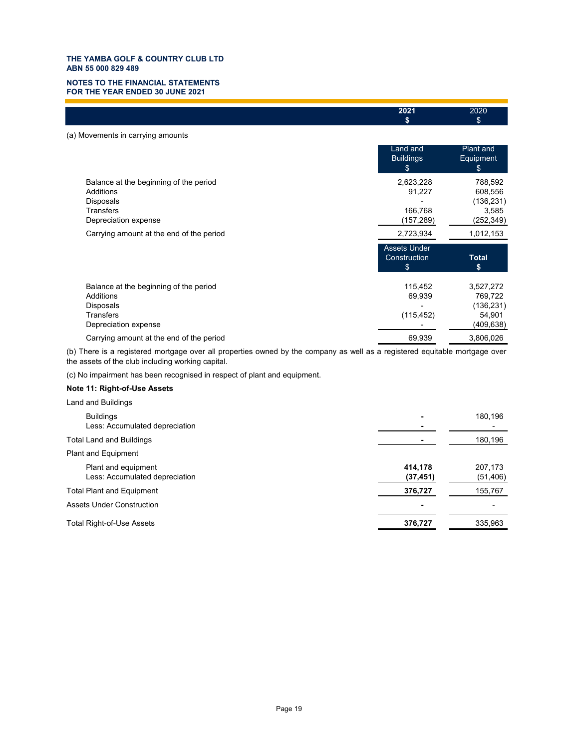## **NOTES TO THE FINANCIAL STATEMENTS FOR THE YEAR ENDED 30 JUNE 2021**

|                                                                                                                     | 2021<br>S                                   | 2020<br>\$                                                 |
|---------------------------------------------------------------------------------------------------------------------|---------------------------------------------|------------------------------------------------------------|
| (a) Movements in carrying amounts                                                                                   |                                             |                                                            |
|                                                                                                                     | Land and<br><b>Buildings</b><br>\$          | Plant and<br>Equipment<br>\$                               |
| Balance at the beginning of the period<br>Additions<br>Disposals<br><b>Transfers</b><br>Depreciation expense        | 2,623,228<br>91,227<br>166,768<br>(157,289) | 788,592<br>608,556<br>(136, 231)<br>3,585<br>(252,349)     |
| Carrying amount at the end of the period                                                                            | 2,723,934                                   | 1,012,153                                                  |
|                                                                                                                     | <b>Assets Under</b><br>Construction<br>S    | <b>Total</b><br>\$                                         |
| Balance at the beginning of the period<br>Additions<br><b>Disposals</b><br><b>Transfers</b><br>Depreciation expense | 115,452<br>69,939<br>(115, 452)             | 3,527,272<br>769,722<br>(136, 231)<br>54,901<br>(409, 638) |
| Carrying amount at the end of the period                                                                            | 69,939                                      | 3,806,026                                                  |

(b) There is a registered mortgage over all properties owned by the company as well as a registered equitable mortgage over the assets of the club including working capital.

(c) No impairment has been recognised in respect of plant and equipment.

# **Note 11: Right-of-Use Assets**

| Land and Buildings                                    |                      |                      |
|-------------------------------------------------------|----------------------|----------------------|
| <b>Buildings</b><br>Less: Accumulated depreciation    |                      | 180.196              |
| <b>Total Land and Buildings</b>                       |                      | 180,196              |
| <b>Plant and Equipment</b>                            |                      |                      |
| Plant and equipment<br>Less: Accumulated depreciation | 414.178<br>(37, 451) | 207.173<br>(51, 406) |
| <b>Total Plant and Equipment</b>                      | 376,727              | 155,767              |
| <b>Assets Under Construction</b>                      | ٠                    |                      |
| Total Right-of-Use Assets                             | 376,727              | 335,963              |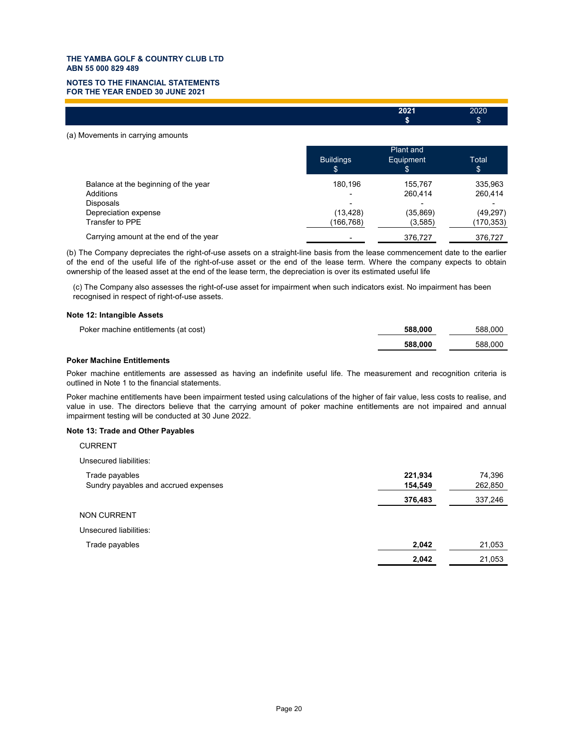#### **NOTES TO THE FINANCIAL STATEMENTS FOR THE YEAR ENDED 30 JUNE 2021**

| גרמנ | 2020 |
|------|------|
|      |      |
|      |      |
|      |      |
|      |      |
|      |      |

(a) Movements in carrying amounts

|                                                   | <b>Buildings</b><br>\$              | Plant and<br>Equipment | Total<br>\$        |
|---------------------------------------------------|-------------------------------------|------------------------|--------------------|
| Balance at the beginning of the year<br>Additions | 180.196<br>$\overline{\phantom{0}}$ | 155.767<br>260,414     | 335,963<br>260,414 |
| <b>Disposals</b>                                  | -                                   |                        |                    |
| Depreciation expense                              | (13, 428)                           | (35, 869)              | (49, 297)          |
| Transfer to PPE                                   | (166,768)                           | (3,585)                | (170,353)          |
| Carrying amount at the end of the year            |                                     | 376.727                | 376.727            |

(b) The Company depreciates the right-of-use assets on a straight-line basis from the lease commencement date to the earlier of the end of the useful life of the right-of-use asset or the end of the lease term. Where the company expects to obtain ownership of the leased asset at the end of the lease term, the depreciation is over its estimated useful life

(c) The Company also assesses the right-of-use asset for impairment when such indicators exist. No impairment has been recognised in respect of right-of-use assets.

## **Note 12: Intangible Assets**

| Poker machine entitlements (at cost) | 588.000 | 588,000 |
|--------------------------------------|---------|---------|
|                                      | 588.000 | 588,000 |

# **Poker Machine Entitlements**

Poker machine entitlements are assessed as having an indefinite useful life. The measurement and recognition criteria is outlined in Note 1 to the financial statements.

Poker machine entitlements have been impairment tested using calculations of the higher of fair value, less costs to realise, and value in use. The directors believe that the carrying amount of poker machine entitlements are not impaired and annual impairment testing will be conducted at 30 June 2022.

# **Note 13: Trade and Other Payables**

**CURRENT** 

| <b>UUINNLINI</b>                                       |                    |                   |
|--------------------------------------------------------|--------------------|-------------------|
| Unsecured liabilities:                                 |                    |                   |
| Trade payables<br>Sundry payables and accrued expenses | 221,934<br>154,549 | 74,396<br>262,850 |
|                                                        | 376,483            | 337,246           |
| <b>NON CURRENT</b>                                     |                    |                   |
| Unsecured liabilities:                                 |                    |                   |
| Trade payables                                         | 2,042              | 21,053            |
|                                                        | 2,042              | 21,053            |
|                                                        |                    |                   |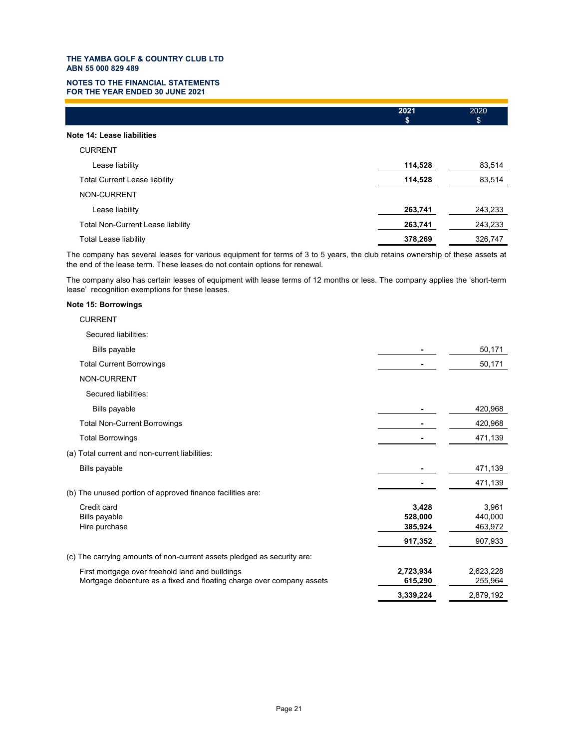#### **NOTES TO THE FINANCIAL STATEMENTS FOR THE YEAR ENDED 30 JUNE 2021**

|                                          | 2021<br>\$ | 2020<br>\$ |
|------------------------------------------|------------|------------|
| Note 14: Lease liabilities               |            |            |
| <b>CURRENT</b>                           |            |            |
| Lease liability                          | 114,528    | 83,514     |
| <b>Total Current Lease liability</b>     | 114,528    | 83,514     |
| NON-CURRENT                              |            |            |
| Lease liability                          | 263,741    | 243,233    |
| <b>Total Non-Current Lease liability</b> | 263,741    | 243,233    |
| <b>Total Lease liability</b>             | 378,269    | 326,747    |

The company has several leases for various equipment for terms of 3 to 5 years, the club retains ownership of these assets at the end of the lease term. These leases do not contain options for renewal.

The company also has certain leases of equipment with lease terms of 12 months or less. The company applies the 'short-term lease' recognition exemptions for these leases.

## **Note 15: Borrowings**

| <b>CURRENT</b>                                                          |                  |                  |
|-------------------------------------------------------------------------|------------------|------------------|
| Secured liabilities:                                                    |                  |                  |
| <b>Bills payable</b>                                                    |                  | 50,171           |
| <b>Total Current Borrowings</b>                                         |                  | 50,171           |
| NON-CURRENT                                                             |                  |                  |
| Secured liabilities:                                                    |                  |                  |
| <b>Bills payable</b>                                                    |                  | 420,968          |
| <b>Total Non-Current Borrowings</b>                                     |                  | 420,968          |
| <b>Total Borrowings</b>                                                 |                  | 471,139          |
| (a) Total current and non-current liabilities:                          |                  |                  |
| Bills payable                                                           |                  | 471,139          |
|                                                                         |                  | 471,139          |
| (b) The unused portion of approved finance facilities are:              |                  |                  |
| Credit card<br><b>Bills payable</b>                                     | 3,428<br>528,000 | 3,961<br>440,000 |
| Hire purchase                                                           | 385,924          | 463,972          |
|                                                                         | 917,352          | 907,933          |
| (c) The carrying amounts of non-current assets pledged as security are: |                  |                  |
| First mortgage over freehold land and buildings                         | 2,723,934        | 2,623,228        |
| Mortgage debenture as a fixed and floating charge over company assets   | 615,290          | 255,964          |
|                                                                         | 3,339,224        | 2,879,192        |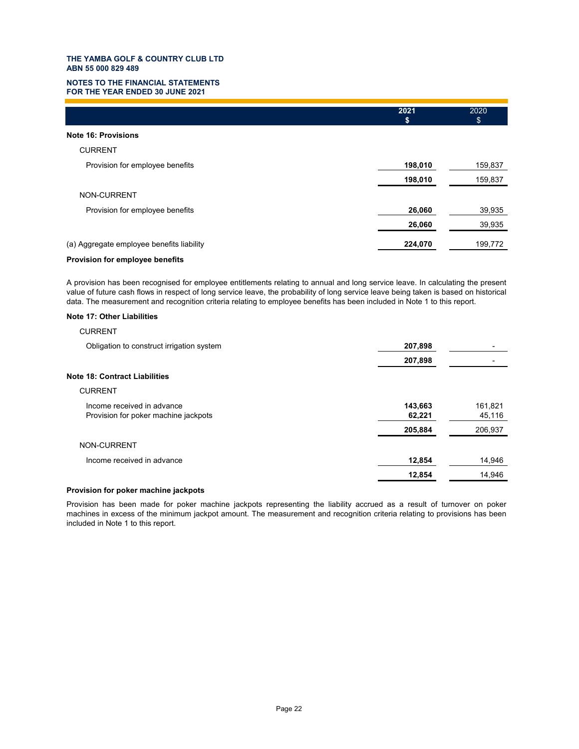#### **NOTES TO THE FINANCIAL STATEMENTS FOR THE YEAR ENDED 30 JUNE 2021**

|                                           | 2021<br>S | 2020<br>\$ |
|-------------------------------------------|-----------|------------|
| <b>Note 16: Provisions</b>                |           |            |
| <b>CURRENT</b>                            |           |            |
| Provision for employee benefits           | 198,010   | 159,837    |
|                                           | 198,010   | 159,837    |
| NON-CURRENT                               |           |            |
| Provision for employee benefits           | 26,060    | 39,935     |
|                                           | 26,060    | 39,935     |
| (a) Aggregate employee benefits liability | 224,070   | 199,772    |

# **Provision for employee benefits**

A provision has been recognised for employee entitlements relating to annual and long service leave. In calculating the present value of future cash flows in respect of long service leave, the probability of long service leave being taken is based on historical data. The measurement and recognition criteria relating to employee benefits has been included in Note 1 to this report.

## **Note 17: Other Liabilities**

| <b>CURRENT</b>                            |         |         |
|-------------------------------------------|---------|---------|
| Obligation to construct irrigation system | 207,898 |         |
|                                           | 207,898 |         |
| <b>Note 18: Contract Liabilities</b>      |         |         |
| <b>CURRENT</b>                            |         |         |
| Income received in advance                | 143,663 | 161,821 |
| Provision for poker machine jackpots      | 62,221  | 45,116  |
|                                           | 205,884 | 206,937 |
| NON-CURRENT                               |         |         |
| Income received in advance                | 12,854  | 14,946  |
|                                           | 12,854  | 14,946  |
|                                           |         |         |

# **Provision for poker machine jackpots**

Provision has been made for poker machine jackpots representing the liability accrued as a result of turnover on poker machines in excess of the minimum jackpot amount. The measurement and recognition criteria relating to provisions has been included in Note 1 to this report.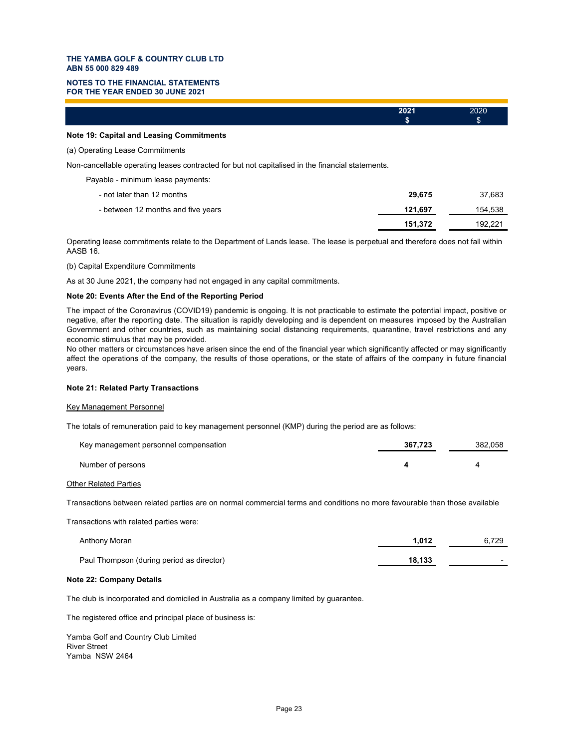## **NOTES TO THE FINANCIAL STATEMENTS FOR THE YEAR ENDED 30 JUNE 2021**

|                                                                                                  | 2021<br>\$ | 2020<br>\$ |
|--------------------------------------------------------------------------------------------------|------------|------------|
| <b>Note 19: Capital and Leasing Commitments</b>                                                  |            |            |
| (a) Operating Lease Commitments                                                                  |            |            |
| Non-cancellable operating leases contracted for but not capitalised in the financial statements. |            |            |
| Payable - minimum lease payments:                                                                |            |            |
| - not later than 12 months                                                                       | 29,675     | 37,683     |
| - between 12 months and five years                                                               | 121,697    | 154,538    |

Operating lease commitments relate to the Department of Lands lease. The lease is perpetual and therefore does not fall within AASB 16.

 **151,372** 192,221

(b) Capital Expenditure Commitments

As at 30 June 2021, the company had not engaged in any capital commitments.

## **Note 20: Events After the End of the Reporting Period**

The impact of the Coronavirus (COVID19) pandemic is ongoing. It is not practicable to estimate the potential impact, positive or negative, after the reporting date. The situation is rapidly developing and is dependent on measures imposed by the Australian Government and other countries, such as maintaining social distancing requirements, quarantine, travel restrictions and any economic stimulus that may be provided.

No other matters or circumstances have arisen since the end of the financial year which significantly affected or may significantly affect the operations of the company, the results of those operations, or the state of affairs of the company in future financial years.

## **Note 21: Related Party Transactions**

## Key Management Personnel

The totals of remuneration paid to key management personnel (KMP) during the period are as follows:

| Key management personnel compensation | 367.723 | 382.058 |
|---------------------------------------|---------|---------|
| Number of persons                     |         |         |

#### **Other Related Parties**

Transactions between related parties are on normal commercial terms and conditions no more favourable than those available

Transactions with related parties were:

| Anthony Moran                             | 1.012  | 6.729 |
|-------------------------------------------|--------|-------|
| Paul Thompson (during period as director) | 18.133 |       |

# **Note 22: Company Details**

The club is incorporated and domiciled in Australia as a company limited by guarantee.

The registered office and principal place of business is:

Yamba NSW 2464 Yamba Golf and Country Club Limited River Street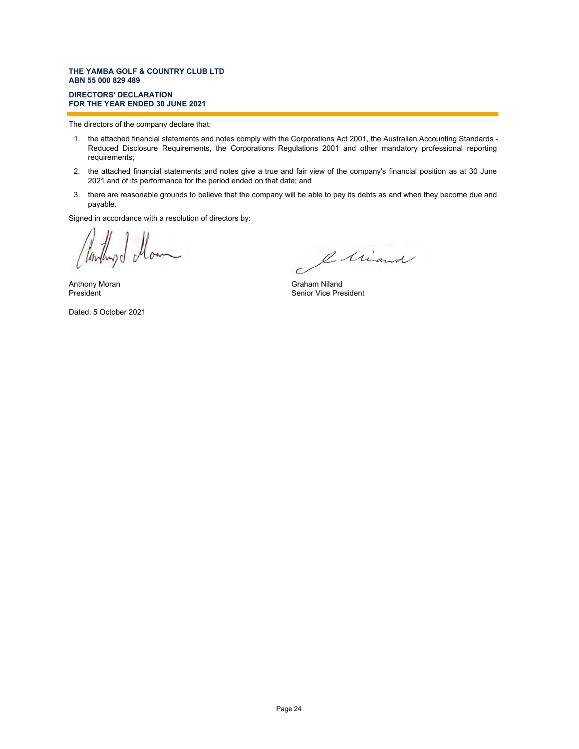#### **DIRECTORS' DECLARATION FOR THE YEAR ENDED 30 JUNE 2021**

The directors of the company declare that:

- 1. the attached financial statements and notes comply with the Corporations Act 2001, the Australian Accounting Standards Reduced Disclosure Requirements, the Corporations Regulations 2001 and other mandatory professional reporting requirements;
- 2. the attached financial statements and notes give a true and fair view of the company's financial position as at 30 June 2021 and of its performance for the period ended on that date; and
- 3. there are reasonable grounds to believe that the company will be able to pay its debts as and when they become due and payable.

Signed in accordance with a resolution of directors by:

llam

Dated: 5 October 2021

I Miand

Anthony Moran **Graham Niland**<br> **President** Graham Christian Christian Christian Christian Christian Christian Christian Christian Christian Christian Christian Christian Christian Christian Christian Christian Christian Ch Senior Vice President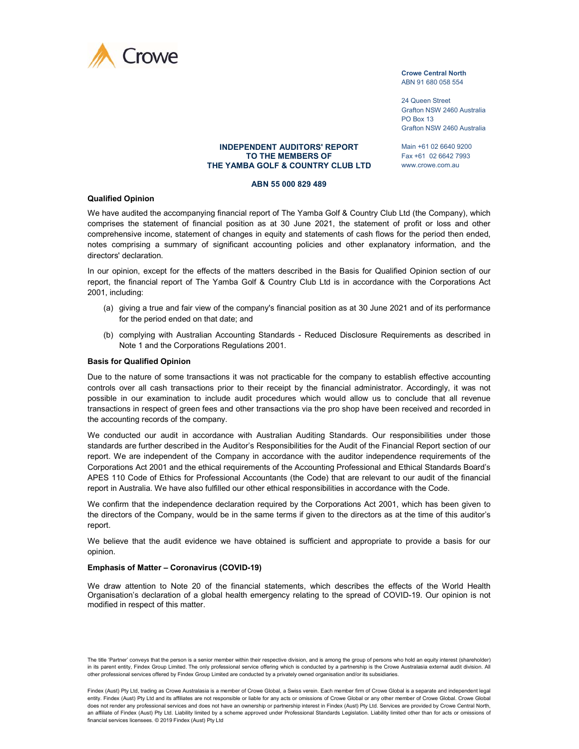

24 Queen Street Grafton NSW 2460 Australia PO Box 13 Grafton NSW 2460 Australia

#### **INDEPENDENT AUDITORS' REPORT TO THE MEMBERS OF THE YAMBA GOLF & COUNTRY CLUB LTD**

Main +61 02 6640 9200 Fax +61 02 6642 7993 www.crowe.com.au

## **ABN 55 000 829 489**

#### **Qualified Opinion**

We have audited the accompanying financial report of The Yamba Golf & Country Club Ltd (the Company), which comprises the statement of financial position as at 30 June 2021, the statement of profit or loss and other comprehensive income, statement of changes in equity and statements of cash flows for the period then ended, notes comprising a summary of significant accounting policies and other explanatory information, and the directors' declaration.

In our opinion, except for the effects of the matters described in the Basis for Qualified Opinion section of our report, the financial report of The Yamba Golf & Country Club Ltd is in accordance with the Corporations Act 2001, including:

- (a) giving a true and fair view of the company's financial position as at 30 June 2021 and of its performance for the period ended on that date; and
- (b) complying with Australian Accounting Standards Reduced Disclosure Requirements as described in Note 1 and the Corporations Regulations 2001.

#### **Basis for Qualified Opinion**

Due to the nature of some transactions it was not practicable for the company to establish effective accounting controls over all cash transactions prior to their receipt by the financial administrator. Accordingly, it was not possible in our examination to include audit procedures which would allow us to conclude that all revenue transactions in respect of green fees and other transactions via the pro shop have been received and recorded in the accounting records of the company.

We conducted our audit in accordance with Australian Auditing Standards. Our responsibilities under those standards are further described in the Auditor's Responsibilities for the Audit of the Financial Report section of our report. We are independent of the Company in accordance with the auditor independence requirements of the Corporations Act 2001 and the ethical requirements of the Accounting Professional and Ethical Standards Board's APES 110 Code of Ethics for Professional Accountants (the Code) that are relevant to our audit of the financial report in Australia. We have also fulfilled our other ethical responsibilities in accordance with the Code.

We confirm that the independence declaration required by the Corporations Act 2001, which has been given to the directors of the Company, would be in the same terms if given to the directors as at the time of this auditor's report.

We believe that the audit evidence we have obtained is sufficient and appropriate to provide a basis for our opinion.

## **Emphasis of Matter – Coronavirus (COVID-19)**

We draw attention to Note 20 of the financial statements, which describes the effects of the World Health Organisation's declaration of a global health emergency relating to the spread of COVID-19. Our opinion is not modified in respect of this matter.

The title 'Partner' conveys that the person is a senior member within their respective division, and is among the group of persons who hold an equity interest (shareholder) in its parent entity, Findex Group Limited. The only professional service offering which is conducted by a partnership is the Crowe Australasia external audit division. All other professional services offered by Findex Group Limited are conducted by a privately owned organisation and/or its subsidiaries.

Findex (Aust) Pty Ltd, trading as Crowe Australasia is a member of Crowe Global, a Swiss verein. Each member firm of Crowe Global is a separate and independent legal entity. Findex (Aust) Pty Ltd and its affiliates are not responsible or liable for any acts or omissions of Crowe Global or any other member of Crowe Global. Crowe Global does not render any professional services and does not have an ownership or partnership interest in Findex (Aust) Pty Ltd. Services are provided by Crowe Central North, an affiliate of Findex (Aust) Pty Ltd. Liability limited by a scheme approved under Professional Standards Legislation. Liability limited other than for acts or omissions of financial services licensees. © 2019 Findex (Aust) Pty Ltd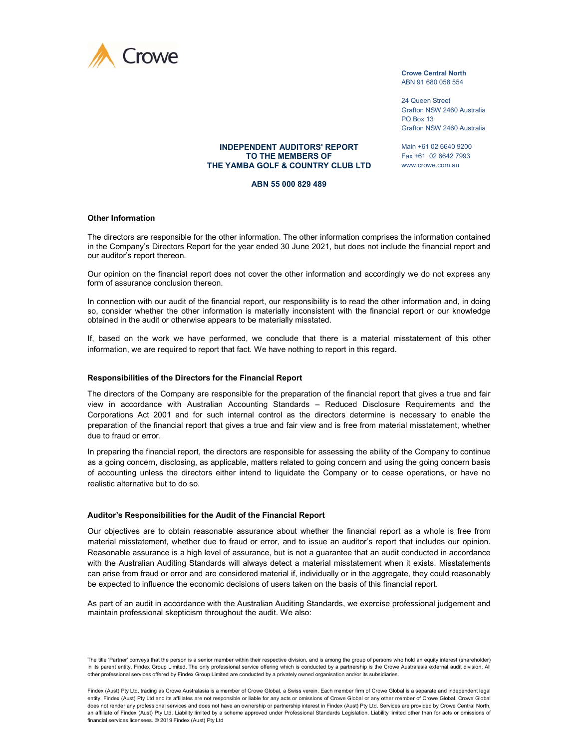

Main +61 02 6640 9200 Fax +61 02 6642 7993 www.crowe.com.au

24 Queen Street Grafton NSW 2460 Australia PO Box 13 Grafton NSW 2460 Australia

#### **INDEPENDENT AUDITORS' REPORT TO THE MEMBERS OF THE YAMBA GOLF & COUNTRY CLUB LTD**

#### **ABN 55 000 829 489**

#### **Other Information**

The directors are responsible for the other information. The other information comprises the information contained in the Company's Directors Report for the year ended 30 June 2021, but does not include the financial report and our auditor's report thereon.

Our opinion on the financial report does not cover the other information and accordingly we do not express any form of assurance conclusion thereon.

In connection with our audit of the financial report, our responsibility is to read the other information and, in doing so, consider whether the other information is materially inconsistent with the financial report or our knowledge obtained in the audit or otherwise appears to be materially misstated.

If, based on the work we have performed, we conclude that there is a material misstatement of this other information, we are required to report that fact. We have nothing to report in this regard.

#### **Responsibilities of the Directors for the Financial Report**

The directors of the Company are responsible for the preparation of the financial report that gives a true and fair view in accordance with Australian Accounting Standards – Reduced Disclosure Requirements and the Corporations Act 2001 and for such internal control as the directors determine is necessary to enable the preparation of the financial report that gives a true and fair view and is free from material misstatement, whether due to fraud or error.

In preparing the financial report, the directors are responsible for assessing the ability of the Company to continue as a going concern, disclosing, as applicable, matters related to going concern and using the going concern basis of accounting unless the directors either intend to liquidate the Company or to cease operations, or have no realistic alternative but to do so.

#### **Auditor's Responsibilities for the Audit of the Financial Report**

Our objectives are to obtain reasonable assurance about whether the financial report as a whole is free from material misstatement, whether due to fraud or error, and to issue an auditor's report that includes our opinion. Reasonable assurance is a high level of assurance, but is not a guarantee that an audit conducted in accordance with the Australian Auditing Standards will always detect a material misstatement when it exists. Misstatements can arise from fraud or error and are considered material if, individually or in the aggregate, they could reasonably be expected to influence the economic decisions of users taken on the basis of this financial report.

As part of an audit in accordance with the Australian Auditing Standards, we exercise professional judgement and maintain professional skepticism throughout the audit. We also:

The title 'Partner' conveys that the person is a senior member within their respective division, and is among the group of persons who hold an equity interest (shareholder) in its parent entity, Findex Group Limited. The only professional service offering which is conducted by a partnership is the Crowe Australasia external audit division. All other professional services offered by Findex Group Limited are conducted by a privately owned organisation and/or its subsidiaries.

Findex (Aust) Pty Ltd, trading as Crowe Australasia is a member of Crowe Global, a Swiss verein. Each member firm of Crowe Global is a separate and independent legal entity. Findex (Aust) Pty Ltd and its affiliates are not responsible or liable for any acts or omissions of Crowe Global or any other member of Crowe Global. Crowe Global does not render any professional services and does not have an ownership or partnership interest in Findex (Aust) Pty Ltd. Services are provided by Crowe Central North, an affiliate of Findex (Aust) Pty Ltd. Liability limited by a scheme approved under Professional Standards Legislation. Liability limited other than for acts or omissions of financial services licensees. © 2019 Findex (Aust) Pty Ltd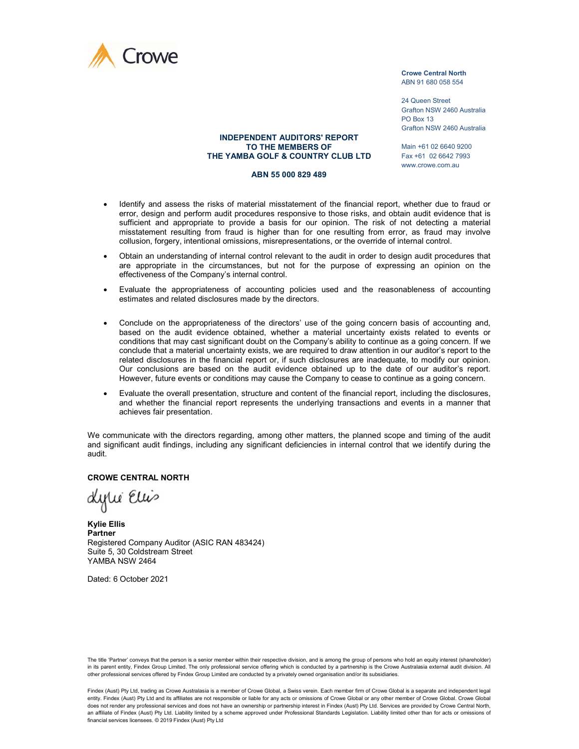

24 Queen Street Grafton NSW 2460 Australia PO Box 13 Grafton NSW 2460 Australia

## **INDEPENDENT AUDITORS' REPORT TO THE MEMBERS OF THE YAMBA GOLF & COUNTRY CLUB LTD**

Main +61 02 6640 9200 Fax +61 02 6642 7993 www.crowe.com.au

# **ABN 55 000 829 489**

- Identify and assess the risks of material misstatement of the financial report, whether due to fraud or error, design and perform audit procedures responsive to those risks, and obtain audit evidence that is sufficient and appropriate to provide a basis for our opinion. The risk of not detecting a material misstatement resulting from fraud is higher than for one resulting from error, as fraud may involve collusion, forgery, intentional omissions, misrepresentations, or the override of internal control.
- Obtain an understanding of internal control relevant to the audit in order to design audit procedures that are appropriate in the circumstances, but not for the purpose of expressing an opinion on the effectiveness of the Company's internal control.
- Evaluate the appropriateness of accounting policies used and the reasonableness of accounting estimates and related disclosures made by the directors.
- Conclude on the appropriateness of the directors' use of the going concern basis of accounting and, based on the audit evidence obtained, whether a material uncertainty exists related to events or conditions that may cast significant doubt on the Company's ability to continue as a going concern. If we conclude that a material uncertainty exists, we are required to draw attention in our auditor's report to the related disclosures in the financial report or, if such disclosures are inadequate, to modify our opinion. Our conclusions are based on the audit evidence obtained up to the date of our auditor's report. However, future events or conditions may cause the Company to cease to continue as a going concern.
- Evaluate the overall presentation, structure and content of the financial report, including the disclosures, and whether the financial report represents the underlying transactions and events in a manner that achieves fair presentation.

We communicate with the directors regarding, among other matters, the planned scope and timing of the audit and significant audit findings, including any significant deficiencies in internal control that we identify during the audit.

## **CROWE CENTRAL NORTH**

dytie Eliis

**Kylie Ellis Partner**  Registered Company Auditor (ASIC RAN 483424) Suite 5, 30 Coldstream Street YAMBA NSW 2464

Dated: 6 October 2021

The title 'Partner' conveys that the person is a senior member within their respective division, and is among the group of persons who hold an equity interest (shareholder) in its parent entity, Findex Group Limited. The only professional service offering which is conducted by a partnership is the Crowe Australasia external audit division. All other professional services offered by Findex Group Limited are conducted by a privately owned organisation and/or its subsidiaries.

Findex (Aust) Pty Ltd, trading as Crowe Australasia is a member of Crowe Global, a Swiss verein. Each member firm of Crowe Global is a separate and independent legal entity. Findex (Aust) Pty Ltd and its affiliates are not responsible or liable for any acts or omissions of Crowe Global or any other member of Crowe Global. Crowe Global does not render any professional services and does not have an ownership or partnership interest in Findex (Aust) Pty Ltd. Services are provided by Crowe Central North, an affiliate of Findex (Aust) Pty Ltd. Liability limited by a scheme approved under Professional Standards Legislation. Liability limited other than for acts or omissions of financial services licensees. © 2019 Findex (Aust) Pty Ltd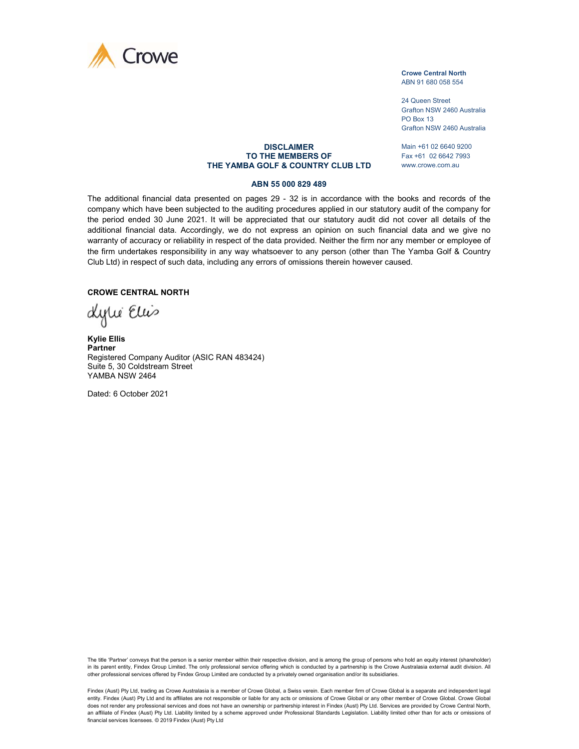

24 Queen Street Grafton NSW 2460 Australia  $P\cap \text{Row } 13$ Grafton NSW 2460 Australia

## **DISCLAIMER TO THE MEMBERS OF THE YAMBA GOLF & COUNTRY CLUB LTD**

Main +61 02 6640 9200 Fax +61 02 6642 7993 www.crowe.com.au

## **ABN 55 000 829 489**

The additional financial data presented on pages 29 - 32 is in accordance with the books and records of the company which have been subjected to the auditing procedures applied in our statutory audit of the company for the period ended 30 June 2021. It will be appreciated that our statutory audit did not cover all details of the additional financial data. Accordingly, we do not express an opinion on such financial data and we give no warranty of accuracy or reliability in respect of the data provided. Neither the firm nor any member or employee of the firm undertakes responsibility in any way whatsoever to any person (other than The Yamba Golf & Country Club Ltd) in respect of such data, including any errors of omissions therein however caused.

## **CROWE CENTRAL NORTH**

dytie Etiis

**Kylie Ellis Partner**  Registered Company Auditor (ASIC RAN 483424) Suite 5, 30 Coldstream Street YAMBA NSW 2464

Dated: 6 October 2021

The title 'Partner' conveys that the person is a senior member within their respective division, and is among the group of persons who hold an equity interest (shareholder) in its parent entity, Findex Group Limited. The only professional service offering which is conducted by a partnership is the Crowe Australasia external audit division. All other professional services offered by Findex Group Limited are conducted by a privately owned organisation and/or its subsidiaries.

Findex (Aust) Pty Ltd, trading as Crowe Australasia is a member of Crowe Global, a Swiss verein. Each member firm of Crowe Global is a separate and independent legal entity. Findex (Aust) Pty Ltd and its affiliates are not responsible or liable for any acts or omissions of Crowe Global or any other member of Crowe Global. Crowe Global does not render any professional services and does not have an ownership or partnership interest in Findex (Aust) Pty Ltd. Services are provided by Crowe Central North, an affiliate of Findex (Aust) Pty Ltd. Liability limited by a scheme approved under Professional Standards Legislation. Liability limited other than for acts or omissions of financial services licensees. © 2019 Findex (Aust) Pty Ltd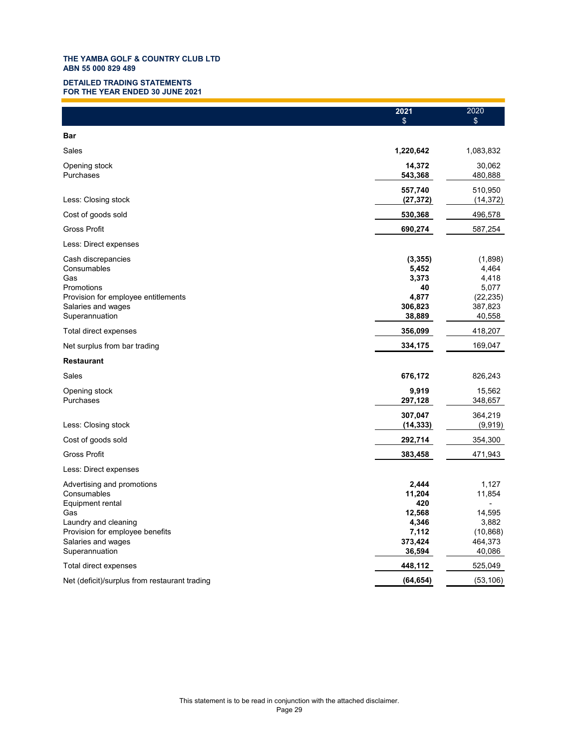## **DETAILED TRADING STATEMENTS FOR THE YEAR ENDED 30 JUNE 2021**

|                                                                                                                                       | 2021                                                           | 2020                                                                 |
|---------------------------------------------------------------------------------------------------------------------------------------|----------------------------------------------------------------|----------------------------------------------------------------------|
|                                                                                                                                       | \$                                                             | \$                                                                   |
| <b>Bar</b>                                                                                                                            |                                                                |                                                                      |
| Sales                                                                                                                                 | 1,220,642                                                      | 1,083,832                                                            |
| Opening stock<br>Purchases                                                                                                            | 14,372<br>543,368                                              | 30,062<br>480,888                                                    |
| Less: Closing stock                                                                                                                   | 557,740<br>(27, 372)                                           | 510,950<br>(14, 372)                                                 |
| Cost of goods sold                                                                                                                    | 530,368                                                        | 496,578                                                              |
| <b>Gross Profit</b>                                                                                                                   | 690,274                                                        | 587,254                                                              |
| Less: Direct expenses                                                                                                                 |                                                                |                                                                      |
| Cash discrepancies<br>Consumables<br>Gas<br>Promotions<br>Provision for employee entitlements<br>Salaries and wages<br>Superannuation | (3, 355)<br>5,452<br>3,373<br>40<br>4,877<br>306,823<br>38,889 | (1,898)<br>4,464<br>4,418<br>5,077<br>(22, 235)<br>387,823<br>40,558 |
| Total direct expenses                                                                                                                 | 356,099                                                        | 418,207                                                              |
| Net surplus from bar trading                                                                                                          | 334,175                                                        | 169,047                                                              |
| <b>Restaurant</b>                                                                                                                     |                                                                |                                                                      |
| Sales                                                                                                                                 | 676,172                                                        | 826,243                                                              |
| Opening stock<br>Purchases                                                                                                            | 9,919<br>297,128                                               | 15,562<br>348,657                                                    |
| Less: Closing stock                                                                                                                   | 307,047<br>(14, 333)                                           | 364,219<br>(9,919)                                                   |
| Cost of goods sold                                                                                                                    | 292,714                                                        | 354,300                                                              |
| <b>Gross Profit</b>                                                                                                                   | 383,458                                                        | 471,943                                                              |
| Less: Direct expenses                                                                                                                 |                                                                |                                                                      |
| Advertising and promotions<br>Consumables<br>Equipment rental                                                                         | 2,444<br>11,204<br>420                                         | 1,127<br>11,854<br>$\overline{a}$                                    |
| Gas<br>Laundry and cleaning<br>Provision for employee benefits<br>Salaries and wages<br>Superannuation                                | 12,568<br>4,346<br>7,112<br>373,424<br>36,594                  | 14,595<br>3,882<br>(10, 868)<br>464,373<br>40,086                    |
| Total direct expenses                                                                                                                 | 448,112                                                        | 525,049                                                              |
| Net (deficit)/surplus from restaurant trading                                                                                         | (64, 654)                                                      | (53, 106)                                                            |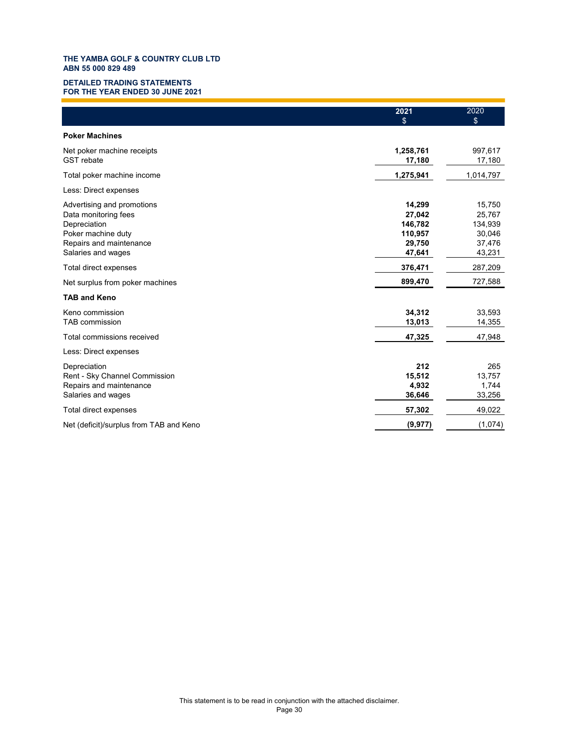## **DETAILED TRADING STATEMENTS FOR THE YEAR ENDED 30 JUNE 2021**

|                                                                                                                                           | 2021<br>$\mathfrak{S}$                                     | 2020<br>$\mathfrak{S}$                                    |
|-------------------------------------------------------------------------------------------------------------------------------------------|------------------------------------------------------------|-----------------------------------------------------------|
| <b>Poker Machines</b>                                                                                                                     |                                                            |                                                           |
| Net poker machine receipts<br>GST rebate                                                                                                  | 1,258,761<br>17,180                                        | 997,617<br>17,180                                         |
| Total poker machine income                                                                                                                | 1,275,941                                                  | 1,014,797                                                 |
| Less: Direct expenses                                                                                                                     |                                                            |                                                           |
| Advertising and promotions<br>Data monitoring fees<br>Depreciation<br>Poker machine duty<br>Repairs and maintenance<br>Salaries and wages | 14,299<br>27,042<br>146,782<br>110,957<br>29,750<br>47,641 | 15,750<br>25,767<br>134,939<br>30,046<br>37,476<br>43,231 |
| Total direct expenses                                                                                                                     | 376,471                                                    | 287,209                                                   |
| Net surplus from poker machines                                                                                                           | 899,470                                                    | 727,588                                                   |
| <b>TAB and Keno</b>                                                                                                                       |                                                            |                                                           |
| Keno commission<br><b>TAB</b> commission                                                                                                  | 34,312<br>13,013                                           | 33,593<br>14,355                                          |
| Total commissions received                                                                                                                | 47,325                                                     | 47,948                                                    |
| Less: Direct expenses                                                                                                                     |                                                            |                                                           |
| Depreciation<br>Rent - Sky Channel Commission<br>Repairs and maintenance<br>Salaries and wages                                            | 212<br>15,512<br>4,932<br>36,646                           | 265<br>13,757<br>1,744<br>33,256                          |
| Total direct expenses                                                                                                                     | 57,302                                                     | 49,022                                                    |
| Net (deficit)/surplus from TAB and Keno                                                                                                   | (9, 977)                                                   | (1,074)                                                   |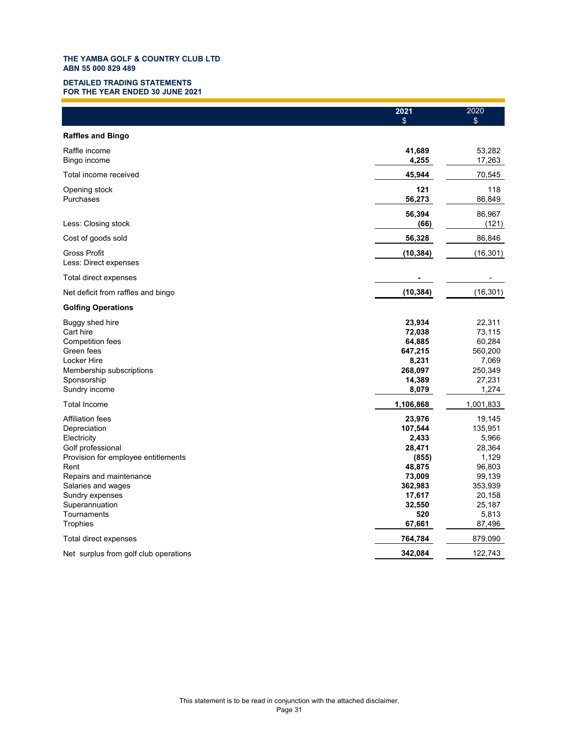#### **DETAILED TRADING STATEMENTS FOR THE YEAR ENDED 30 JUNE 2021**

|                                                                                                                                                                                                                                                                           | 2021<br>\$                                                                                                                     | 2020<br>\$                                                                                                                       |
|---------------------------------------------------------------------------------------------------------------------------------------------------------------------------------------------------------------------------------------------------------------------------|--------------------------------------------------------------------------------------------------------------------------------|----------------------------------------------------------------------------------------------------------------------------------|
| <b>Raffles and Bingo</b>                                                                                                                                                                                                                                                  |                                                                                                                                |                                                                                                                                  |
| Raffle income<br>Bingo income                                                                                                                                                                                                                                             | 41,689<br>4,255                                                                                                                | 53,282<br>17,263                                                                                                                 |
| Total income received                                                                                                                                                                                                                                                     | 45,944                                                                                                                         | 70,545                                                                                                                           |
| Opening stock<br>Purchases                                                                                                                                                                                                                                                | 121<br>56,273                                                                                                                  | 118<br>86,849                                                                                                                    |
| Less: Closing stock                                                                                                                                                                                                                                                       | 56,394<br>(66)                                                                                                                 | 86,967<br>(121)                                                                                                                  |
| Cost of goods sold                                                                                                                                                                                                                                                        | 56,328                                                                                                                         | 86,846                                                                                                                           |
| <b>Gross Profit</b><br>Less: Direct expenses                                                                                                                                                                                                                              | (10, 384)                                                                                                                      | (16, 301)                                                                                                                        |
| Total direct expenses                                                                                                                                                                                                                                                     |                                                                                                                                |                                                                                                                                  |
| Net deficit from raffles and bingo                                                                                                                                                                                                                                        | (10, 384)                                                                                                                      | (16, 301)                                                                                                                        |
| <b>Golfing Operations</b>                                                                                                                                                                                                                                                 |                                                                                                                                |                                                                                                                                  |
| Buggy shed hire<br>Cart hire<br><b>Competition fees</b><br>Green fees<br><b>Locker Hire</b><br>Membership subscriptions<br>Sponsorship<br>Sundry income                                                                                                                   | 23,934<br>72,038<br>64,885<br>647,215<br>8,231<br>268,097<br>14,389<br>8,079                                                   | 22,311<br>73,115<br>60,284<br>560,200<br>7,069<br>250,349<br>27,231<br>1,274                                                     |
| <b>Total Income</b><br><b>Affiliation fees</b><br>Depreciation<br>Electricity<br>Golf professional<br>Provision for employee entitlements<br>Rent<br>Repairs and maintenance<br>Salaries and wages<br>Sundry expenses<br>Superannuation<br>Tournaments<br><b>Trophies</b> | 1,106,868<br>23,976<br>107,544<br>2,433<br>28,471<br>(855)<br>48,875<br>73,009<br>362,983<br>17,617<br>32,550<br>520<br>67,661 | 1,001,833<br>19,145<br>135,951<br>5,966<br>28,364<br>1,129<br>96,803<br>99,139<br>353,939<br>20,158<br>25,187<br>5,813<br>87,496 |
| Total direct expenses                                                                                                                                                                                                                                                     | 764,784                                                                                                                        | 879,090                                                                                                                          |
| Net surplus from golf club operations                                                                                                                                                                                                                                     | 342,084                                                                                                                        | 122,743                                                                                                                          |